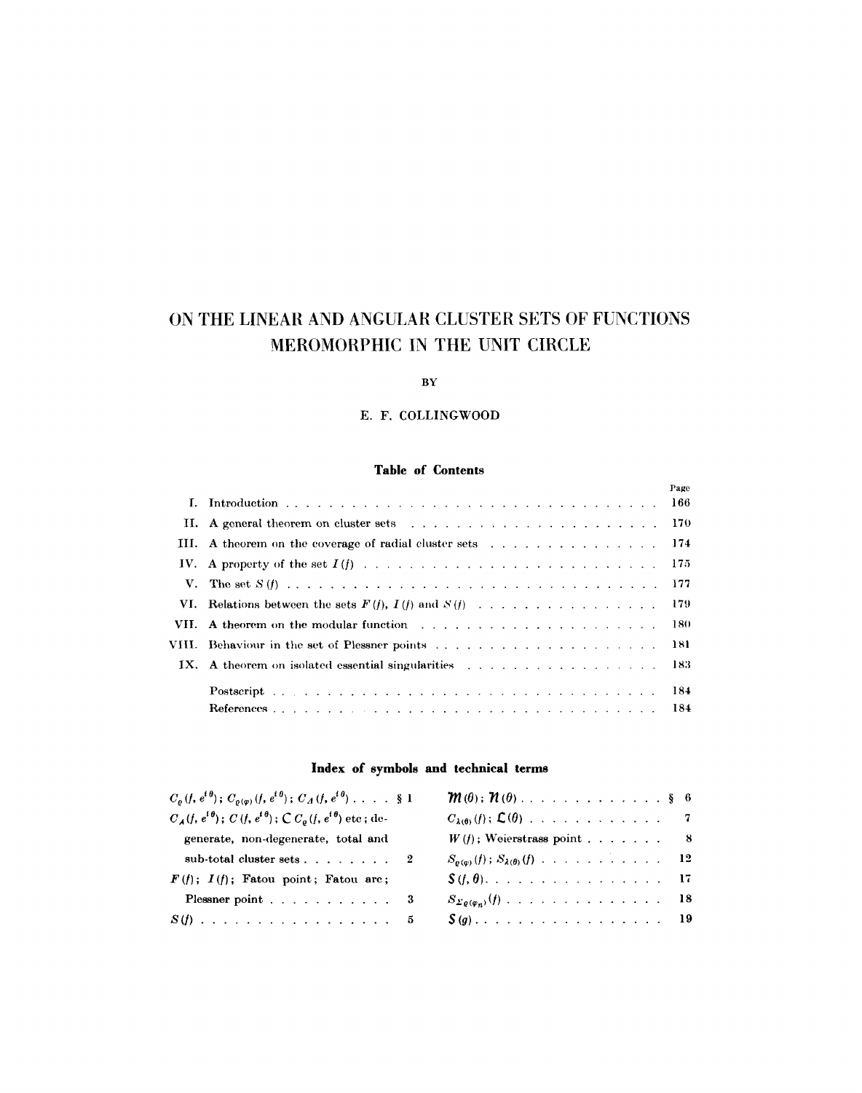# **ON THE LINEAR AND ANGULAR CLUSTER SETS OF FUNCTIONS MEROMORPHIC IN THE UNIT CIRCLE**

# BY

# E. F. COLLINGWOOD

# **Table of Contents**

|                                                                           | Page  |
|---------------------------------------------------------------------------|-------|
|                                                                           |       |
|                                                                           | - 170 |
|                                                                           |       |
|                                                                           | - 175 |
|                                                                           | - 177 |
|                                                                           |       |
| VII. A theorem on the modular function enterstanding the state of the 180 |       |
| VIII. Behaviour in the set of Plessner points                             | -181  |
| IX. A theorem on isolated essential singularities                         | - 183 |
|                                                                           | -184  |
|                                                                           |       |

# **Index of symbols and technical terms**

| $C_{\rho}(f, e^{i\theta}); C_{\rho(\varphi)}(f, e^{i\theta}); C_A(f, e^{i\theta}) \ldots$ \$1               |                                                      |
|-------------------------------------------------------------------------------------------------------------|------------------------------------------------------|
| $C_{\mathcal{A}}(f, e^{i\theta})$ ; $C(f, e^{i\theta})$ ; $\mathcal{C} C_{\theta}(f, e^{i\theta})$ etc; de- |                                                      |
| generate, non-degenerate, total and                                                                         | $W(f)$ ; Weierstrass point 8                         |
| sub-total cluster sets 2                                                                                    | $S_{\rho(\varphi)}(f)$ ; $S_{\lambda(\theta)}(f)$ 12 |
| $F(f); I(f);$ Fatou point; Fatou are;                                                                       | $\mathcal{S}(f, \theta)$ , 17                        |
| Plessner point 3                                                                                            | $S_{\Sigma\rho(\varphi_n)}(f)$ 18                    |
| $S(f)$ 5                                                                                                    | $S(g)$ 19                                            |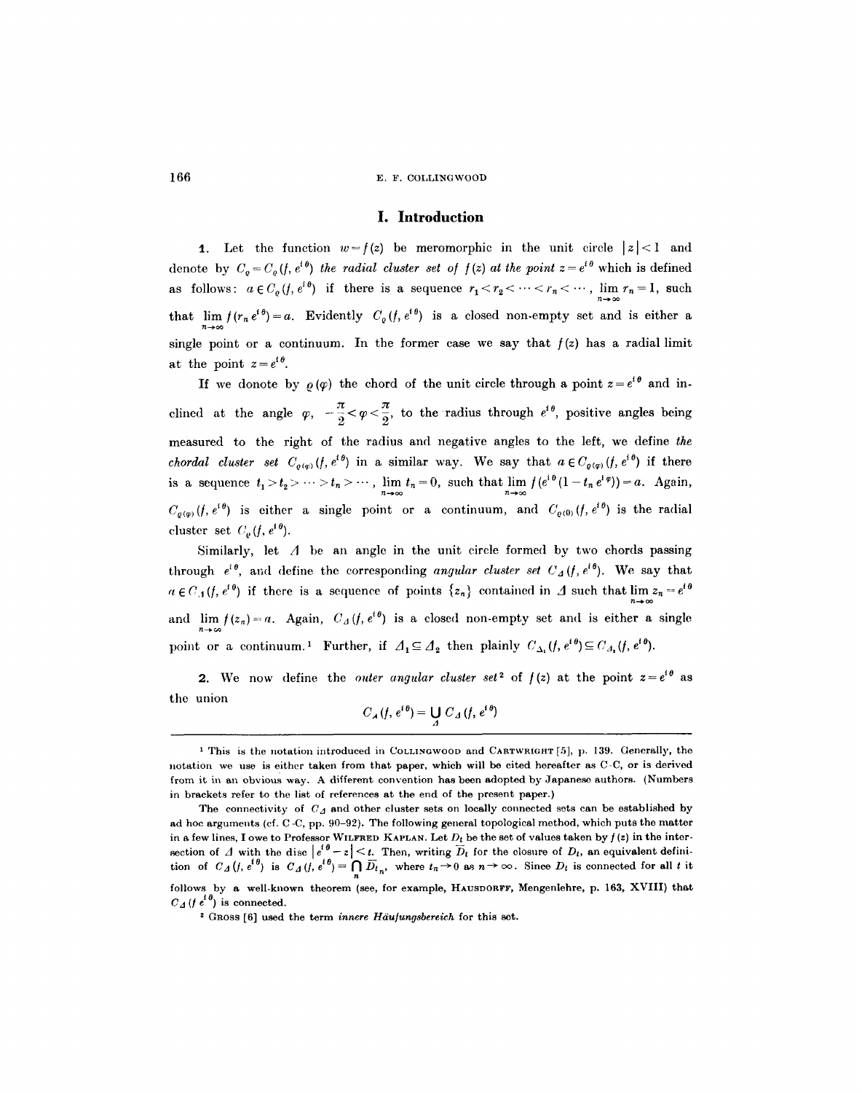#### **I. Introduction**

1. Let the function  $w=f(z)$  be meromorphic in the unit circle  $|z|<1$  and denote by  $C_o = C_o(f, e^{i\theta})$  the radial cluster set of  $f(z)$  at the point  $z = e^{i\theta}$  which is defined as follows:  $a \in C_{\varrho}(f, e^{i\vartheta})$  if there is a sequence  $r_1 < r_2 < \cdots < r_n < \cdots$ ,  $\lim_{n \to \infty} r_n = 1$ , such that  $\lim_{n \to \infty} f(r_n e^{i\theta}) = a$ . Evidently  $C_{\varrho}(f, e^{i\theta})$  is a closed non-empty set and is either a single point or a continuum. In the former case we say that  $f(z)$  has a radial limit at the point  $z = e^{i \theta}$ .

If we donote by  $\rho(\varphi)$  the chord of the unit circle through a point  $z=e^{i\theta}$  and inclined at the angle  $\varphi$ ,  $-\frac{\pi}{2} < \varphi < \frac{\pi}{2}$ , to the radius through  $e^{i\theta}$ , positive angles being measured to the right of the radius and negative angles to the left, we define *the chordal cluster set*  $C_{\varrho(\varphi)}(f, e^{i\theta})$  in a similar way. We say that  $a \in C_{\varrho(\varphi)}(f, e^{i\theta})$  if there is a sequence  $t_1 > t_2 > \cdots > t_n > \cdots$ ,  $\lim_{n \to \infty} t_n = 0$ , such that  $\lim_{n \to \infty} f(e^{i\theta}(1 - t_n e^{i\varphi})) = a$ . Again,  $C_{q(\varphi)}(f, e^{i\theta})$  is either a single point or a continuum, and  $C_{q(0)}(f, e^{i\theta})$  is the radial cluster set  $C_{\rho}(f, e^{i\theta}).$ 

Similarly, let  $\Lambda$  be an angle in the unit circle formed by two chords passing through  $e^{i\theta}$ , and define the corresponding *angular cluster set*  $C_A(f, e^{i\theta})$ . We say that  $a \in C_A(f, e^{i\theta})$  if there is a sequence of points  $\{z_n\}$  contained in  $\Delta$  such that  $\lim z_n = e^{i\theta}$ and  $\lim_{n\to\infty}f(z_n)=a$ . Again,  $C_A(f,e^{i\theta})$  is a closed non-empty set and is either a single point or a continuum.<sup>1</sup> Further, if  $\Delta_1 \subseteq \Delta_2$  then plainly  $C_{\Delta_1}(f, e^{i\theta}) \subseteq C_{\Delta_2}(f, e^{i\theta})$ .

2. We now define the *outer angular cluster set*<sup>2</sup> of  $f(z)$  at the point  $z=e^{i\theta}$  as the union

$$
C_{\mathcal{A}}(f, e^{i\theta}) = \bigcup_{\Delta} C_{\Delta}(f, e^{i\theta})
$$

<sup>&</sup>lt;sup>1</sup> This is the notation introduced in COLLINGWOOD and CARTWRIGHT [5], p. 139. Generally, the notation we use is either taken from that paper, which will be cited hereafter as C-C, or is derived from it in an obvious way. A different convention has been adopted by Japanese authors. (Numbers in brackets refer to the list of references at the end of the present paper.)

The connectivity of  $C_A$  and other cluster sets on locally connected sets can be established by ad hoc arguments (cf. C -C, pp. 90-92). The following general topological method, which puts the matter in a few lines, I owe to Professor WILFRED KAPLAN. Let  $D_t$  be the set of values taken by  $f(z)$  in the intersection of  $\Delta$  with the disc  $|e^{i\theta} - z| < t$ . Then, writing  $D_t$  for the closure of  $D_t$ , an equivalent definition of  $C_A(f, e^{i\theta})$  is  $C_A(f, e^{i\theta}) = \bigcap_n \overline{D_t}_n$ , where  $t_n \to 0$  as  $n \to \infty$ . Since  $D_t$  is connected for all t it follows by a well-known theorem (see, for example, HAUSDORFF, Mengenlehre, p. 163, XVIII) that  $C_A(f e^{i\theta})$  is connected.

<sup>&</sup>lt;sup>2</sup> GROSS [6] used the term *innere Häufungsbereich* for this set.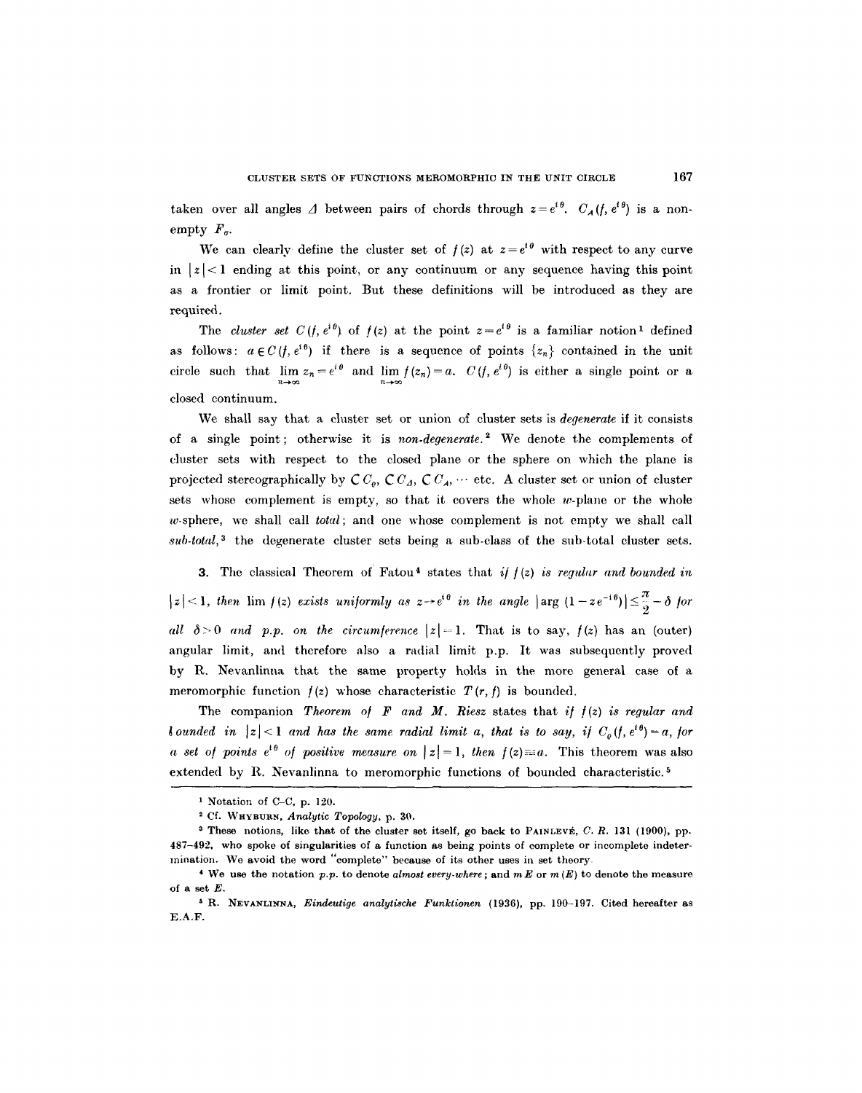taken over all angles  $\Delta$  between pairs of chords through  $z=e^{i\theta}$ .  $C_{\mathcal{A}}(f, e^{i\theta})$  is a nonempty  $F_a$ .

We can clearly define the cluster set of  $f(z)$  at  $z=e^{i\theta}$  with respect to any curve in  $|z|$ <1 ending at this point, or any continuum or any sequence having this point as a frontier or limit point. But these definitions will be introduced as they are required.

The *cluster set*  $C(f, e^{i\theta})$  of  $f(z)$  at the point  $z=e^{i\theta}$  is a familiar notion<sup>1</sup> defined as follows:  $a \in C(f, e^{i\theta})$  if there is a sequence of points  $\{z_n\}$  contained in the unit circle such that  $\lim_{n\to\infty} z_n=e^{i\theta}$  and  $\lim_{n\to\infty} f(z_n)=a$ .  $C(f, e^{i\theta})$  is either a single point or a closed continuum.

We shall say that a cluster set or union of cluster sets is *degenerate* if it consists of a single point; otherwise it is *non-degenerate. 2* We denote the complements of cluster sets with respect to the closed plane or the sphere on which the plane is projected stereographically by  $C C_a$ ,  $C C_A$ ,  $C C_A$ ,  $\cdots$  etc. A cluster set or union of cluster sets whose complement is empty, so that it covers the whole  $w$ -plane or the whole w-sphere, we shall call *total;* and one whose complement is not empty we shall call sub-total,<sup>3</sup> the degenerate cluster sets being a sub-class of the sub-total cluster sets.

3. The classical Theorem of Fatou<sup>4</sup> states that  $if f(z)$  is regular and bounded in  $|z|<1$ , then  $\lim_{z\to 0} f(z)$  exists uniformly as  $z\rightarrow e^{i\theta}$  in the angle  $|\arg(1-ze^{-i\theta})|\leq \frac{\pi}{2}-\delta$  for *all*  $\delta > 0$  *and p.p. on the circumference*  $|z| = 1$ . That is to say,  $f(z)$  has an (outer) angular limit, and therefore also a radial limit p.p. It was subsequently proved by R. Nevanlinna that the same property holds in the more general case of a meromorphic function  $f(z)$  whose characteristic  $T(r, f)$  is bounded.

The companion *Theorem of F and M. Riesz* states that *if*  $f(z)$  *is regular and bounded in*  $|z| < 1$  and has the same radial limit a, that is to say, if  $C_o(f, e^{i\theta}) = a$ , for *a set of points e*<sup>+6</sup> *of positive measure on*  $|z|=1$ , *then*  $f(z)=a$ . This theorem was also extended by R. Nevanlinna to meromorphic functions of bounded characteristic.<sup>5</sup>

Notation of C-C, p. 120.

<sup>2</sup> Cf. WHYBURN, *Analytic Topology,* p. 30.

<sup>&</sup>lt;sup>3</sup> These notions, like that of the cluster set itself, go back to PAINLEVÉ, C. R. 131 (1900), pp. 487-492, who spoke of singularities of a function as being points of complete or incomplete indetermination. We avoid the word "complete" because of its other uses in set theory

<sup>4</sup> We use the notation *p.p.* to denote *almost every.where;* and *mE* or m (E) to denote the measure of a set E.

<sup>&</sup>lt;sup>5</sup> R. NEVANLINNA, *Eindeutige analytische Funktionen* (1936), pp. 190-197. Cited hereafter as E.A.F.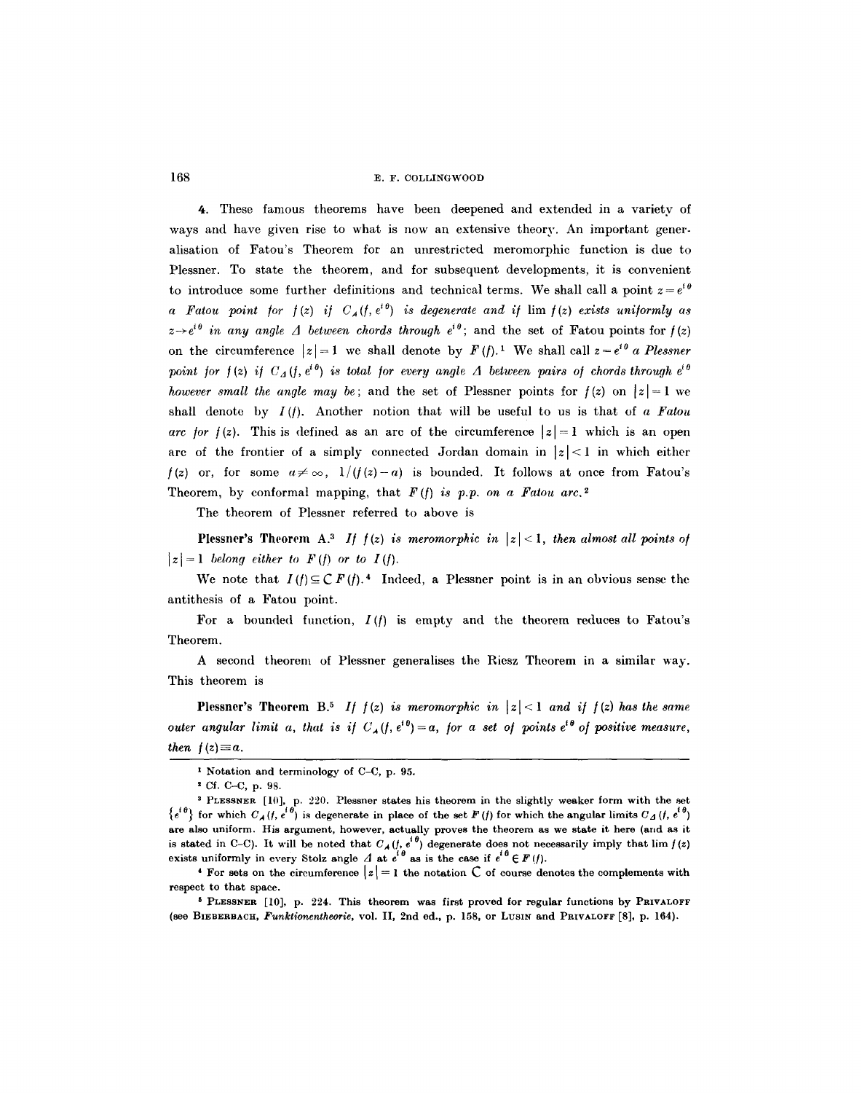4. These famous theorems have been deepened and extended in a variety of ways and have given rise to what is now an extensive theory. An important generalisation of Fatou's Theorem for an unrestricted meromorphic function is due to Plessner. To state the theorem, and for subsequent developments, it is convenient to introduce some further definitions and technical terms. We shall call a point  $z = e^{i\theta}$ *a Fatou point for*  $f(z)$  *if*  $C_A(f, e^{i\theta})$  *is degenerate and if*  $\lim f(z)$  *exists uniformly as*  $z\rightarrow e^{i\theta}$  in any angle  $\Delta$  between chords through  $e^{i\theta}$ ; and the set of Fatou points for  $f(z)$ on the circumference  $|z|=1$  we shall denote by  $F(t)$ .<sup>1</sup> We shall call  $z=e^{i\theta}$  a Plessner point for  $f(z)$  if  $C_A(f, e^{i\theta})$  is total for every angle  $\Delta$  between pairs of chords through  $e^{i\theta}$ *however small the angle may be;* and the set of Plessner points for  $f(z)$  on  $|z|=1$  we shall denote by *I(/).* Another notion that will be useful to us is that of *a Fatou arc for f(z).* This is defined as an arc of the circumference  $|z|=1$  which is an open arc of the frontier of a simply connected Jordan domain in  $|z|<1$  in which either  $f(z)$  or, for some  $a \neq \infty$ ,  $1/(f(z)-a)$  is bounded. It follows at once from Fatou's Theorem, by conformal mapping, that  $F(f)$  is p.p. on a Fatou arc.<sup>2</sup>

The theorem of Plessner referred to above is

Plessner's Theorem A.<sup>3</sup> If  $f(z)$  is meromorphic in  $|z| < 1$ , then almost all points of  $|z|=1$  belong either to  $F(f)$  or to  $I(f)$ .

We note that  $I(f) \subseteq C F(f)$ .<sup>4</sup> Indeed, a Plessner point is in an obvious sense the antithesis of a Fatou point.

For a bounded function,  $I(f)$  is empty and the theorem reduces to Fatou's Theorem.

A second theorem of Plessner generalises the Riesz Theorem in a similar way. This theorem is

**Plessner's Theorem B.<sup>5</sup> If**  $f(z)$  **is meromorphic in**  $|z| < 1$  **and if**  $f(z)$  **has the same** *outer angular limit a, that is if*  $C_A(f, e^{i\theta}) = a$ , *for a set of points*  $e^{i\theta}$  *of positive measure, then*  $f(z) \equiv a$ .

<sup>6</sup> PLESSNER [10], p. 224. This theorem was first proved for regular functions by PRIVALOFF (see BIEBERBACH, *Funktionentheorie*, vol. II, 2nd ed., p. 158, or LUSIN and PRIVALOFF [8], p. 164).

**i Notation and terminology of C-C, p. 95.** 

**<sup>2</sup> Cf. C-C, p. 98.** 

**a PLESSNER [10], p. 220. Plessner states his theorem in the slightly weaker form with the set**   ${e^{i\theta}}$  for which  $C_A (f, e^{i\theta})$  is degenerate in place of the set  $F (f)$  for which the angular limits  $C_A (f, e^{i\theta})$ **are also uniform. His argument, however, actually proves the theorem as we state it here (arid as it**  is stated in C-C). It will be noted that  $C_A(f, e^{\cdot y})$  degenerate does not necessarily imply that  $\lim f(z)$ exists uniformly in every Stolz angle  $\Lambda$  at  $e^{i\theta}$  as is the case if  $e^{i\theta} \in F(f)$ .

**<sup>4</sup> For sets on the circumference**  $|z|=1$  **the notation C of course denotes the complements with respect to that space.**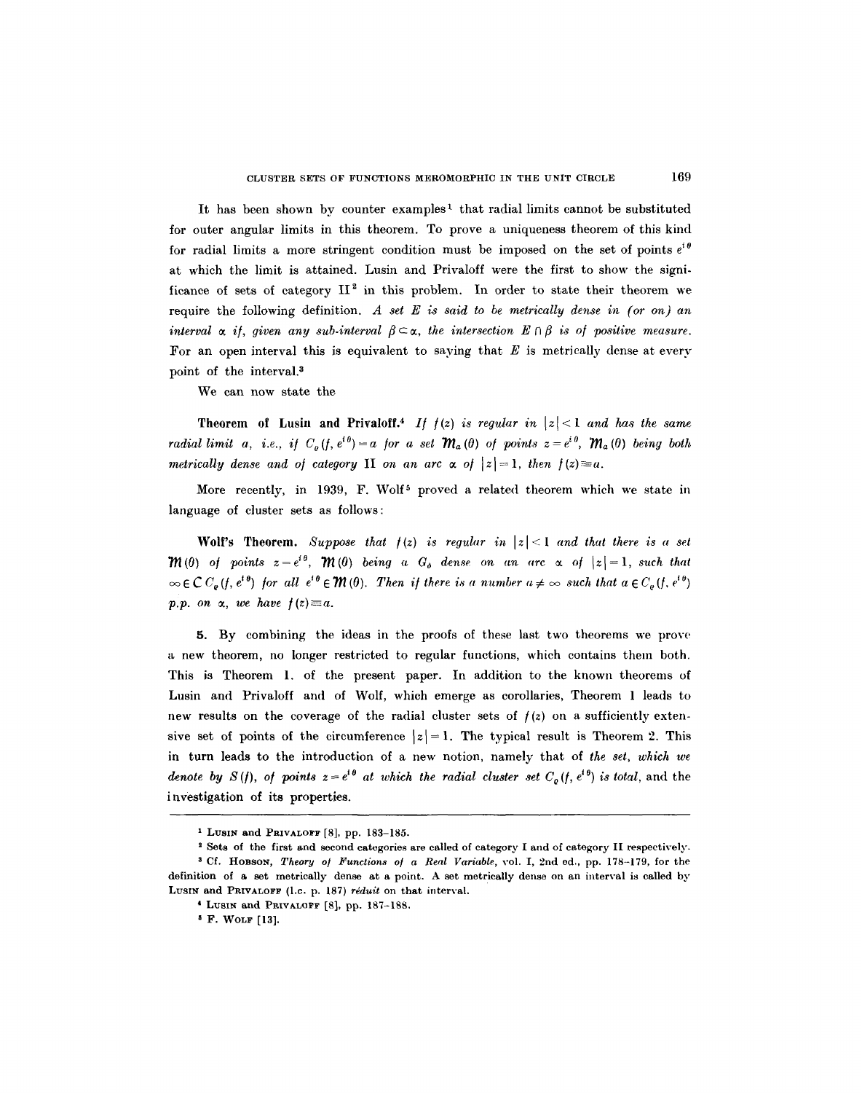It has been shown by counter examples<sup>1</sup> that radial limits cannot be substituted for outer angular limits in this theorem. To prove a uniqueness theorem of this kind for radial limits a more stringent condition must be imposed on the set of points  $e^{i\theta}$ at which the limit is attained. Lusin and Privaloff were the first to show the significance of sets of category  $II^2$  in this problem. In order to state their theorem we require the following definition. *A set E is said to be metrically dense in (or on) an interval*  $\alpha$  *if, given any sub-interval*  $\beta \subset \alpha$ , the intersection  $E \cap \beta$  is of positive measure. For an open interval this is equivalent to saying that  $E$  is metrically dense at every point of the interval.<sup>3</sup>

We can now state the

Theorem of Lusin and Privaloff.<sup>4</sup> If  $f(z)$  is regular in  $|z| < 1$  and has the same *radial limit a, i.e., if*  $C_{\rho}(f, e^{i\theta}) = a$  for a set  $\mathcal{M}_{a}(\theta)$  of points  $z = e^{i\theta}$ ,  $\mathcal{M}_{a}(\theta)$  being both *metrically dense and of category II on an arc*  $\alpha$  *of*  $|z|=1$ , *then*  $f(z)=a$ .

More recently, in 1939, F. Wolf<sup>5</sup> proved a related theorem which we state in language of cluster sets as follows:

Wolf's Theorem. Suppose that  $f(z)$  is regular in  $|z| < 1$  and that there is a set  $\mathcal{W}(0)$  of points  $z=e^{i\theta}$ ,  $\mathcal{W}(0)$  being a  $G_{\delta}$  dense on an arc  $\alpha$  of  $|z|=1$ , such that  $\infty \in \mathcal{C}$   $C_{\varrho}(f, e^{i\theta})$  for all  $e^{i\theta} \in \mathcal{W}(0)$ . Then if there is a number  $a \neq \infty$  such that  $a \in C_{\varrho}(f, e^{i\theta})$ *p.p. on*  $\alpha$ *, we have*  $f(z) \equiv a$ *.* 

5. By combining the ideas in the proofs of these last two theorems we prove a new theorem, no longer restricted to regular functions, which contains them both. This is Theorem 1. of the present paper. In addition to the known theorems of Lusin and Privaloff and of Wolf, which emerge as corollaries, Theorem 1 leads to new results on the coverage of the radial cluster sets of  $f(z)$  on a sufficiently extensive set of points of the circumference  $|z|=1$ . The typical result is Theorem 2. This in turn leads to the introduction of a new notion, namely that of *the set, which we denote by S(f), of points*  $z = e^{i\theta}$  *at which the radial cluster set C<sub>o</sub>(f,*  $e^{i\theta}$ *) is total, and the* investigation of its properties.

<sup>1</sup> LusIN and PRIVALOFF [8], pp. 183-185.

<sup>2</sup> Sets of the first and second categories are called of category I and of category II respectively. <sup>3</sup> Cf. Hobson, *Theory of Functions of a Real Variable*, vol. I, 2nd ed., pp. 178-179, for the

definition of a set metrically dense at a point. A set metrically dense on an interval is called by LusIN and PRIVALOFF (I.c. p. 187) *réduit* on that interval.

<sup>&</sup>lt;sup>4</sup> LUSIN and PRIVALOFF [8], pp. 187-188.

i F. WOLF [13].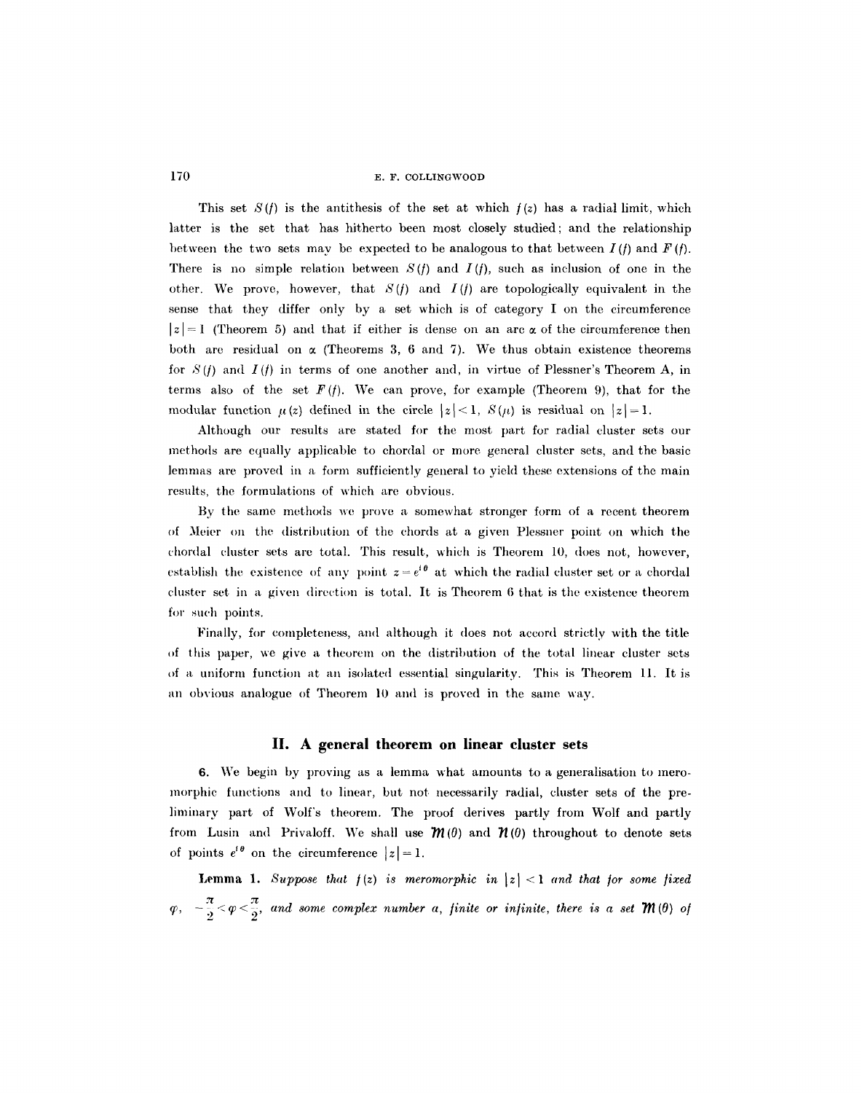This set  $S(f)$  is the antithesis of the set at which  $f(z)$  has a radial limit, which latter is the set that has hitherto been most closely studied; and the relationship between the two sets may be expected to be analogous to that between  $I(f)$  and  $F(f)$ . There is no simple relation between  $S(f)$  and  $I(f)$ , such as inclusion of one in the other. We prove, however, that  $S(f)$  and  $I(f)$  are topologically equivalent in the sense that they differ only by a set which is of category I on the circumference  $|z|=1$  (Theorem 5) and that if either is dense on an arc  $\alpha$  of the circumference then both are residual on  $\alpha$  (Theorems 3, 6 and 7). We thus obtain existence theorems for  $S(f)$  and  $I(f)$  in terms of one another and, in virtue of Plessner's Theorem A, in terms also of the set  $F(f)$ . We can prove, for example (Theorem 9), that for the modular function  $\mu(z)$  defined in the circle  $|z| < 1$ ,  $S(\mu)$  is residual on  $|z| = 1$ .

Although our results are stated for the most part for radial cluster sets our methods are equally applicable to chordal or more general cluster sets, and the basic lemmas are proved in a form sufficiently general to yield these extensions of the main results, the formulations of which are obvious.

By the same methods we prove a somewhat stronger form of a recent theorem of )Icier on the distribution of the chords at a given Plcssuer point on which the chordal cluster sets are total. This result, which is Theorem 10, does not, however, establish the existence of any point  $z=e^{i\theta}$  at which the radial cluster set or a chordal cluster set in a given direction is total. It is Theorem  $6$  that is the existence theorem for such points.

Finally, for completeness, and although it does not accord strictly with the title of this paper, we give a theorem on the distribution of the total linear cluster sets of a uniform function at an isolated essential singularity. This is Theorem 11. It is an obvious analogue of Theorem 10 and is proved in the same way.

#### **II. A general theorem on linear cluster sets**

6. We begin by proving as a lemma what amounts to a generalisation to meromorphic functions and to linear, but not necessarily radial, cluster sets of the prelimiuary part of Wolf's theorem. The proof derives partly from Wolf and partly from Lusin and Privaloff. We shall use  $\mathcal{M}(0)$  and  $\mathcal{M}(0)$  throughout to denote sets of points  $e^{i\theta}$  on the circumference  $|z| = 1$ .

**Lemma 1.** Suppose that  $f(z)$  is meromorphic in  $|z| < 1$  and that for some fixed  $\varphi, \quad -\frac{\pi}{2} < \varphi < \frac{\pi}{2}$ , and some complex number a, finite or infinite, there is a set  $\mathcal{M}(0)$  of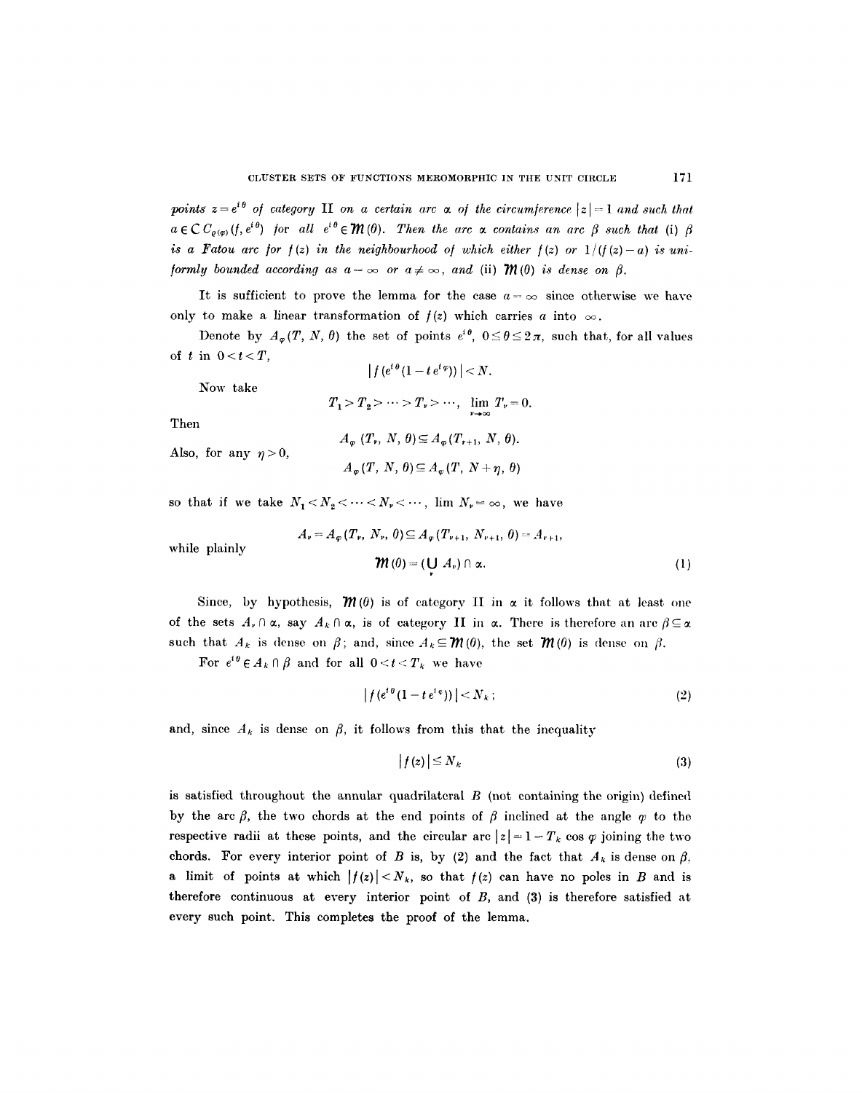*points*  $z = e^{i\theta}$  *of category* **II** *on a certain arc*  $\alpha$  *of the circumference*  $|z| = 1$  *and such that*  $a \in \mathcal{C}C_{\rho(\omega)}(f, e^{i\theta})$  for all  $e^{i\theta} \in \mathcal{M}(\theta)$ . Then the arc  $\alpha$  contains an arc  $\beta$  such that (i)  $\beta$ *is a Fatou arc for*  $f(z)$  *in the neighbourhood of which either*  $f(z)$  *or*  $1/(f(z)-a)$  *is uni-/ormly bounded according as*  $a = \infty$  *or*  $a \neq \infty$ *, and (ii)*  $\mathcal{W}(0)$  *is dense on*  $\beta$ .

It is sufficient to prove the lemma for the case  $a = \infty$  since otherwise we have only to make a linear transformation of  $f(z)$  which carries a into  $\infty$ .

Denote by  $A_{\varphi}(T, N, \theta)$  the set of points  $e^{i\theta}$ ,  $0 \le \theta \le 2\pi$ , such that, for all values of t in  $0 < t < T$ ,  $|f(e^{i\theta}(1-te^{i\varphi}))| < N.$ 

Now take

 $T_1 > T_2 > \cdots > T_r > \cdots$ ,  $\lim_{r \to \infty} T_r = 0.$ 

Then

Also, for any  $\eta > 0$ ,  $A_{\varphi}$   $(T_{\nu}, N, \theta) \subseteq A_{\varphi}(T_{\nu+1}, N, \theta).$  $A_{\varphi}(T, N, \theta) \subseteq A_{\varphi}(T, N+\eta, \theta)$ 

so that if we take  $N_1 < N_2 < \cdots < N_r < \cdots$ , lim  $N_r = \infty$ , we have

$$
A_{\nu} = A_{\varphi}(T_{\nu}, N_{\nu}, \theta) \subseteq A_{\varphi}(T_{\nu+1}, N_{\nu+1}, \theta) = A_{\nu+1},
$$
  

$$
\mathbf{W}(\theta) = (\mathbf{U} \ A_{\nu}) \cap \alpha.
$$
 (1)

while plainly

Since, by hypothesis,  $\mathcal{M}(0)$  is of category II in  $\alpha$  it follows that at least one of the sets  $A_r \cap \alpha$ , say  $A_k \cap \alpha$ , is of category II in  $\alpha$ . There is therefore an arc  $\beta \subseteq \alpha$ such that  $A_k$  is dense on  $\beta$ ; and, since  $A_k \subseteq \mathcal{M}(0)$ , the set  $\mathcal{M}(0)$  is dense on  $\beta$ .

*v* 

For  $e^{i\theta} \in A_k \cap \beta$  and for all  $0 < t < T_k$  we have

$$
\left|f(e^{i\theta}(1-te^{i\varphi}))\right|
$$

and, since  $A_k$  is dense on  $\beta$ , it follows from this that the inequality

$$
|f(z)| \le N_k \tag{3}
$$

is satisfied throughout the annular quadrilateral  $B$  (not containing the origin) defined by the arc  $\beta$ , the two chords at the end points of  $\beta$  inclined at the angle  $\alpha$  to the respective radii at these points, and the circular arc  $|z| = 1 - T_k \cos \varphi$  joining the two chords. For every interior point of B is, by (2) and the fact that  $A_k$  is dense on  $\beta$ , a limit of points at which  $|f(z)| < N_k$ , so that  $f(z)$  can have no poles in B and is therefore continuous at every interior point of  $B$ , and  $(3)$  is therefore satisfied at every such point. This completes the proof of the lemma.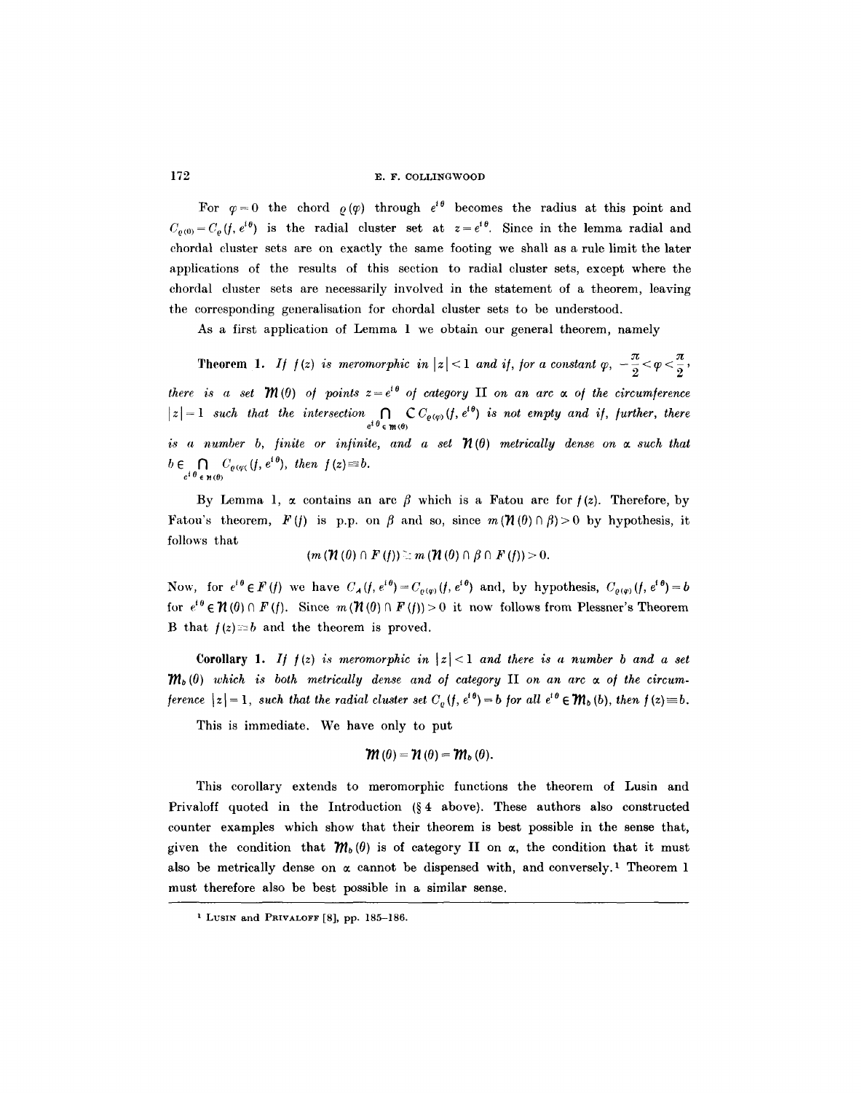For  $\varphi=0$  the chord  $\rho(\varphi)$  through  $e^{i\theta}$  becomes the radius at this point and  $C_{\varrho(0)}=C_{\varrho}(f,e^{i\theta})$  is the radial cluster set at  $z=e^{i\theta}$ . Since in the lemma radial and chordal cluster sets are on exactly the same footing we shall as a rule limit the later applications of the results of this section to radial cluster sets, except where the chordal cluster sets are necessarily involved in the statement of a theorem, leaving the corresponding generalisation for chordal cluster sets to be understood.

As a first application of Lemma 1 we obtain our general theorem, namely

Theorem 1. *If*  $f(z)$  is meromorphic in  $|z| < 1$  and if, for a constant  $\varphi$ ,  $-\frac{\pi}{2} < \varphi < \frac{\pi}{2}$ , *there is a set*  $\mathcal{M}(0)$  *of points*  $z=e^{i\theta}$  *of category* **II** *on an arc*  $\alpha$  *of the circumference*  $|z|=1$  such that the intersection  $\bigcap_{e^{i\theta}\in \mathfrak{m}(0)} \mathbb{C} C_{\varrho(\varphi)}(f,e^{i\theta})$  is not empty and if, further, there *is a number b, finite or infinite, and a set*  $\mathcal{H}(\theta)$  metrically dense on  $\alpha$  such that  $b\in \bigcap_{e^{i\theta}\in \mathcal{H}(\theta)} C_{\varrho(\varphi)}(f,e^{i\theta}), \text{ then } f(z)\equiv b.$ 

By Lemma 1,  $\alpha$  contains an arc  $\beta$  which is a Fatou arc for  $f(z)$ . Therefore, by Fatou's theorem,  $F(f)$  is p.p. on  $\beta$  and so, since  $m(\mathcal{H}(\theta)\cap\beta)>0$  by hypothesis, it follows that

$$
(m(\mathcal{H}(\theta)\cap F(f))\geq m(\mathcal{H}(\theta)\cap \beta\cap F(f))>0.
$$

Now, for  $e^{i\theta} \in F(f)$  we have  $C_A(f, e^{i\theta}) = C_{\rho(\varphi)}(f, e^{i\theta})$  and, by hypothesis,  $C_{\rho(\varphi)}(f, e^{i\theta}) = b$ for  $e^{i\theta} \in \mathcal{H}(0) \cap F(f)$ . Since  $m(\mathcal{H}(0) \cap F(f)) > 0$  it now follows from Plessner's Theorem B that  $f(z) = b$  and the theorem is proved.

Corollary 1. *If*  $f(z)$  *is meromorphic in*  $|z| < 1$  *and there is a number b and a set*  $m_b(0)$  which is both metrically dense and of category **II** on an arc  $\alpha$  of the circum*ference*  $|z|=1$ , such that the radial cluster set  $C_e(f, e^{i\theta})=b$  for all  $e^{i\theta} \in \mathcal{W}_b(b)$ , then  $f(z) \equiv b$ .

This is immediate. We have only to put

$$
\mathcal{W}\left( 0\right) =\mathcal{W}\left( \theta\right) =\mathcal{W}_{b}\left( \theta\right) .
$$

This corollary extends to meromorphic functions the theorem of Lusin and Privaloff quoted in the Introduction  $(\S 4 \text{ above})$ . These authors also constructed counter examples which show that their theorem is best possible in the sense that, given the condition that  $m_b(\theta)$  is of category II on  $\alpha$ , the condition that it must also be metrically dense on  $\alpha$  cannot be dispensed with, and conversely.<sup>1</sup> Theorem 1 must therefore also be best possible in a similar sense.

<sup>&</sup>lt;sup>1</sup> Lusin and Privalorr [8], pp. 185-186.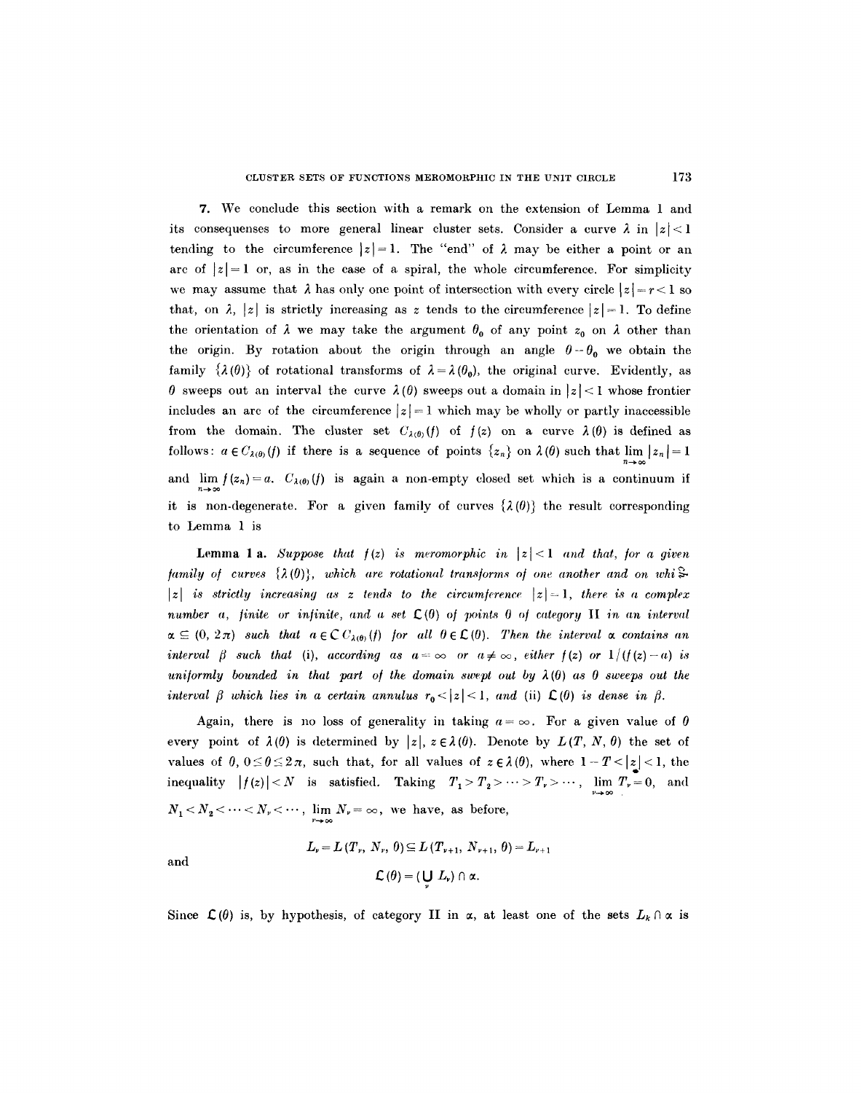7. We conclude this section with a remark on the extension of Lemma 1 and its consequenses to more general linear cluster sets. Consider a curve  $\lambda$  in  $|z| < 1$ tending to the circumference  $|z|=1$ . The "end" of  $\lambda$  may be either a point or an arc of  $|z|=1$  or, as in the case of a spiral, the whole circumference. For simplicity we may assume that  $\lambda$  has only one point of intersection with every circle  $|z| = r < 1$  so that, on  $\lambda$ , |z| is strictly increasing as z tends to the circumference  $|z|=1$ . To define the orientation of  $\lambda$  we may take the argument  $\theta_0$  of any point  $z_0$  on  $\lambda$  other than the origin. By rotation about the origin through an angle  $\theta - \theta_0$  we obtain the family  $\{\lambda(\theta)\}\$  of rotational transforms of  $\lambda = \lambda(\theta_0)$ , the original curve. Evidently, as  $\theta$  sweeps out an interval the curve  $\lambda(\theta)$  sweeps out a domain in  $|z| < 1$  whose frontier includes an arc of the circumference  $|z|=1$  which may be wholly or partly inaccessible from the domain. The cluster set  $C_{\lambda(0)}(f)$  of  $f(z)$  on a curve  $\lambda(\theta)$  is defined as follows:  $a \in C_{\lambda(\theta)}(f)$  if there is a sequence of points  $\{z_n\}$  on  $\lambda(\theta)$  such that lim  $|z_n| = 1$ and  $\lim_{h \to 0} f(z_n) = a$ .  $C_{\lambda(0)}(f)$  is again a non-empty closed set which is a continuum if n--~ oo it is non-degenerate. For a given family of curves  $\{\lambda(\theta)\}\$  the result corresponding to Lemma 1 is

**Lemma 1 a.** *Suppose that*  $f(z)$  *is meromorphic in*  $|z| < 1$  *and that, for a given family of curves*  $\{\lambda(0)\}$ , which are rotational transforms of one another and on whi $\approx$  $|z|$  is strictly increasing as z tends to the circumference  $|z|=1$ , there is a complex *number a, finite or infinite, and a set*  $\mathcal{L}(0)$  of points 0 of category II in an interval  $\alpha \subseteq (0, 2\pi)$  such that  $a \in \mathbb{C}C_{\lambda(0)}(f)$  for all  $\theta \in \mathbb{C}(0)$ . Then the interval  $\alpha$  contains an *interval*  $\beta$  such that (i), according as  $a=\infty$  or  $a\neq\infty$ , either  $f(z)$  or  $1/(f(z)-a)$  is uniformly bounded in that part of the domain swept out by  $\lambda(0)$  as 0 sweeps out the *interval*  $\beta$  which lies in a certain annulus  $r_0 < |z| < 1$ , and (ii)  $\mathcal{L}(\theta)$  is dense in  $\beta$ .

Again, there is no loss of generality in taking  $a = \infty$ . For a given value of 0 every point of  $\lambda(0)$  is determined by  $|z|, z \in \lambda(0)$ . Denote by  $L(T, N, \theta)$  the set of values of  $0, 0 \le \theta \le 2\pi$ , such that, for all values of  $z \in \lambda(0)$ , where  $1 - T < |z| < 1$ , the inequality  $|f(z)| < N$  is satisfied. Taking  $T_1 > T_2 > \cdots > T_r > \cdots$ ,  $\lim_{n \to \infty} T_r = 0$ , and  $N_1 < N_2 < \cdots < N_r < \cdots$ ,  $\lim_{r \to \infty} N_r = \infty$ , we have, as before,

$$
L_{\nu} = L(T_{\nu}, N_{\nu}, \theta) \subseteq L(T_{\nu+1}, N_{\nu+1}, \theta) = L_{\nu+1}
$$
  

$$
\mathcal{L}(\theta) = (\bigcup_{\nu} L_{\nu}) \cap \alpha.
$$

and

Since  $\mathcal{L}(\theta)$  is, by hypothesis, of category II in  $\alpha$ , at least one of the sets  $L_k \cap \alpha$  is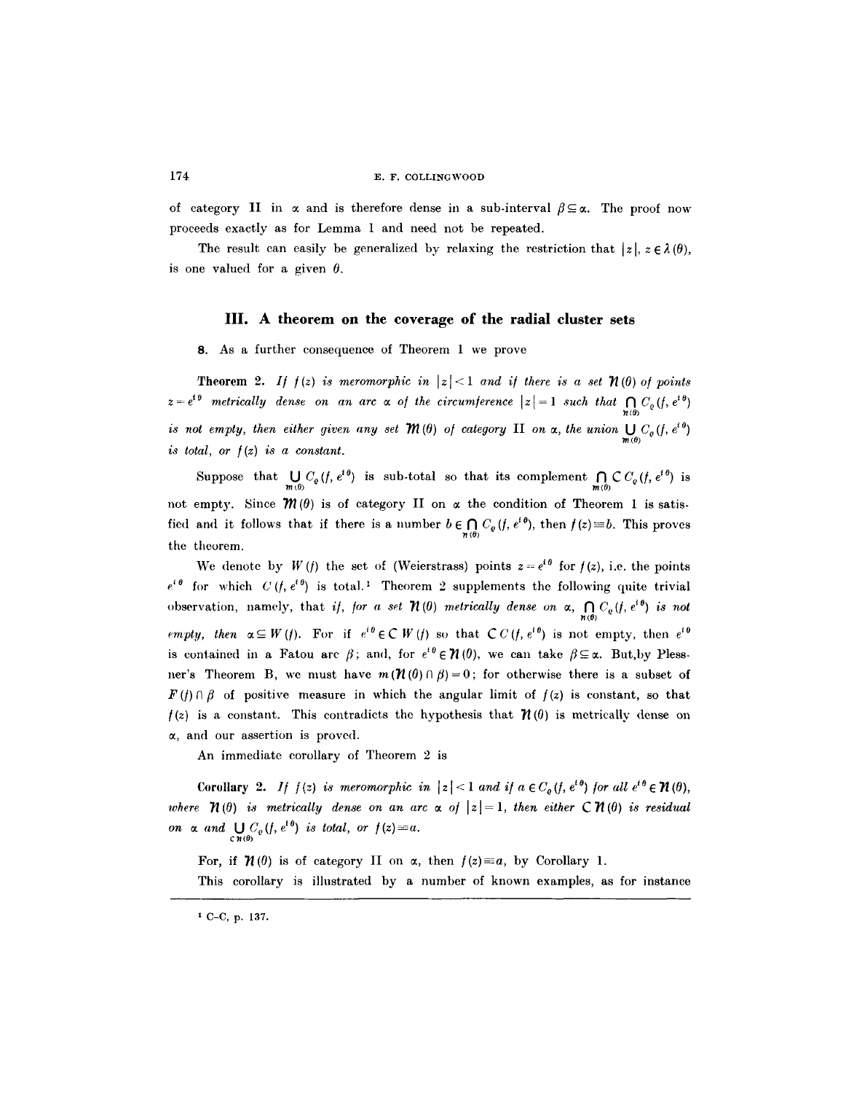of category II in  $\alpha$  and is therefore dense in a sub-interval  $\beta \subseteq \alpha$ . The proof now proceeds exactly as for Lemma 1 and need not be repeated.

The result can easily be generalized by relaxing the restriction that  $|z|, z \in \lambda(0),$ is one valued for a given  $\theta$ .

#### IlL **A theorem on the coverage of the radial cluster sets**

8. As a further consequence of Theorem 1 we prove

**Theorem 2.** *If*  $f(z)$  *is meromorphic in*  $|z| < 1$  *and if there is a set*  $\mathcal{H}(\theta)$  *of points*  $z=e^{i\theta}$  metrically dense on an arc  $\alpha$  of the circumference  $|z|=1$  such that  $\bigcap_{n\neq 0}C_{\varrho}(f,e^{i\theta})$ *is not empty, then either given any set*  $\mathcal{M}(\theta)$  *of category* II *on*  $\alpha$ *, the union*  $\bigcup_{m(\theta)} C_o(f, e^{i\theta})$ *is total, or*  $f(z)$  *is a constant.* 

Suppose that  $\bigcup_{m(0)} C_{\varrho}(f, e^{i\theta})$  is sub-total so that its complement  $\bigcap_{m(0)} \mathcal{C} C_{\varrho}(f, e^{i\theta})$  is not empty. Since  $\mathcal{M}(\theta)$  is of category II on  $\alpha$  the condition of Theorem 1 is satisfied and it follows that if there is a number  $b \in \bigcap_{n(\theta)} C_{\varrho}(f, e^{i\theta})$ , then  $f(z) \equiv b$ . This proves the theorem.

We denote by  $W(t)$  the set of (Weierstrass) points  $z = e^{i\theta}$  for  $f(z)$ , i.e. the points  $e^{i\theta}$  for which  $C (f, e^{i\theta})$  is total.<sup>1</sup> Theorem 2 supplements the following quite trivial observation, namely, that *if, for a set*  $\mathcal{H}(0)$  metrically dense on  $\alpha$ ,  $\bigcap_{n\in\mathbb{N}} C_e(f, e^{i\theta})$  is not *empty, then*  $\alpha \subseteq W(f)$ . For if  $e^{i\theta} \in \mathbb{C} W(f)$  so that  $\mathbb{C} C(f, e^{i\theta})$  is not empty, then  $e^{i\theta}$ is contained in a Fatou arc  $\beta$ ; and, for  $e^{i\theta} \in \mathcal{H}(0)$ , we can take  $\beta \subseteq \alpha$ . But, by Plessner's Theorem B, we must have  $m(\mathcal{H}(0) \cap \beta) = 0$ ; for otherwise there is a subset of  $F(f) \cap \beta$  of positive measure in which the angular limit of  $f(z)$  is constant, so that  $f(z)$  is a constant. This contradicts the hypothesis that  $\mathcal{H}(0)$  is metrically dense on  $\alpha$ , and our assertion is proved.

An immediate corollary of Theorem 2 is

Corollary 2. *If*  $f(z)$  is meromorphic in  $|z| < 1$  and if  $a \in C_{\rho}(f, e^{i\theta})$  for all  $e^{i\theta} \in \mathcal{H}(\theta)$ , *where*  $\mathcal{H}(\theta)$  *is metrically dense on an arc*  $\alpha$  *of*  $|z| = 1$ *, then either*  $C \mathcal{H}(\theta)$  *is residual on*  $\alpha$  and  $\bigcup_{\mathbf{c} \mathbf{n}(\theta)} C_{\varrho}(f, e^{i\theta})$  is total, or  $f(z) \equiv a$ .

For, if  $\mathcal{H}(\theta)$  is of category II on  $\alpha$ , then  $f(z) \equiv a$ , by Corollary 1. This corollary is illustrated by a number of known examples, as for instance

**i C-C, p. 137.**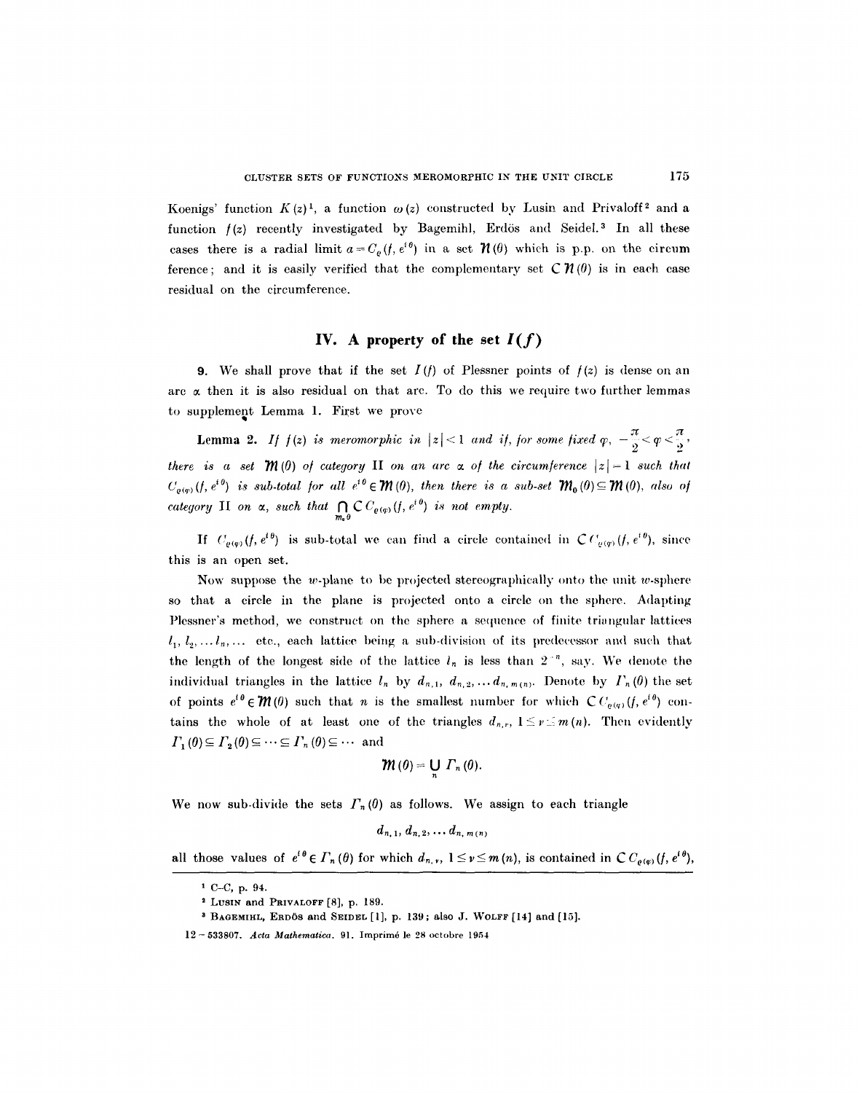Koenigs' function  $K(z)^{1}$ , a function  $\omega(z)$  constructed by Lusin and Privaloff<sup>2</sup> and a function  $f(z)$  recently investigated by Bagemihl, Erdös and Seidel.<sup>3</sup> In all these cases there is a radial limit  $a = C_p(f, e^{i\theta})$  in a set  $\mathcal{H}(\theta)$  which is p.p. on the circum ference; and it is easily verified that the complementary set  $\mathcal{CH}(0)$  is in each case residual on the circumference.

# **IV.** A property of the set  $I(f)$

9. We shall prove that if the set  $I(f)$  of Plessner points of  $f(z)$  is dense on an arc  $\alpha$  then it is also residual on that arc. To do this we require two further lemmas to supplement Lemma 1. First we prove

**Lemma 2.** If  $f(z)$  is meromorphic in  $|z| < 1$  and if, for some fixed  $\varphi$ ,  $-\frac{\pi}{2} < \varphi < \frac{\pi}{2}$ *there is a set*  $\mathcal{M}(0)$  of category II on an arc  $\alpha$  of the circumference  $|z|=1$  such that  $C_{q(\varrho)}(f, e^{i\theta})$  is sub-total for all  $e^{i\theta} \in \mathcal{M}(0)$ , then there is a sub-set  $\mathcal{M}_0(0) \subseteq \mathcal{M}(0)$ , also of *category* II on  $\alpha$ , such that  $\bigcap_{m_0 \theta} \mathbb{C} C_{\varrho(\varphi)}(f, e^{i \theta})$  is not empty.

If  $C_{\rho(\varphi)}(f, e^{i\theta})$  is sub-total we can find a circle contained in  $\mathcal{C} C_{\rho(\varphi)}(f, e^{i\theta})$ , since this is an open set.

Now suppose the w-plane to be projected stereographically onto the unit w-sphere so that a circle in the plane is projected onto a circle on the sphere. Adapting Plessner's method, we construct on the sphere a sequence of finite triangular lattices  $l_1, l_2, \ldots l_n, \ldots$  etc., each lattice being a sub-division of its predecessor and such that the length of the longest side of the lattice  $l_n$  is less than  $2^{-n}$ , say. We denote the individual triangles in the lattice  $l_n$  by  $d_{n,1}$ ,  $d_{n,2}$ , ...  $d_{n,m(n)}$ . Denote by  $\Gamma_n(\theta)$  the set of points  $e^{i\theta} \in \mathcal{M}(0)$  such that *n* is the smallest number for which  $\mathcal{C}C_{\varrho(q)}(f,e^{i\theta})$  contains the whole of at least one of the triangles  $d_{n,r}$ ,  $1 \leq \nu \leq m(n)$ . Then evidently  $\Gamma_1(0) \subseteq \Gamma_2(0) \subseteq \cdots \subseteq \Gamma_n(0) \subseteq \cdots$  and

$$
\mathcal{W}(0)=\bigcup_{n}\Gamma_{n}\left(0\right).
$$

We now sub-divide the sets  $\Gamma_n(\theta)$  as follows. We assign to each triangle

 $d_{n,1}, d_{n,2}, \ldots, d_{n,m(n)}$ 

all those values of  $e^{i\theta} \in \Gamma_n(\theta)$  for which  $d_{n,\nu}$ ,  $1 \leq \nu \leq m(n)$ , is contained in  $\mathcal{C} C_{\varrho(\varphi)}(f, e^{i\theta})$ ,

**t C-C, p. 94.** 

s LUSlN and PRIVALOFF [8], p. 189.

<sup>&</sup>lt;sup>3</sup> BAGEMIHL, ERDÖS and SEIDEL [1], p. 139; also J. WOLFF [14] and [15].

<sup>12-</sup> **533807.** *Acta Mathematics.* 91. Imprim6 le 28 **octobre 1954**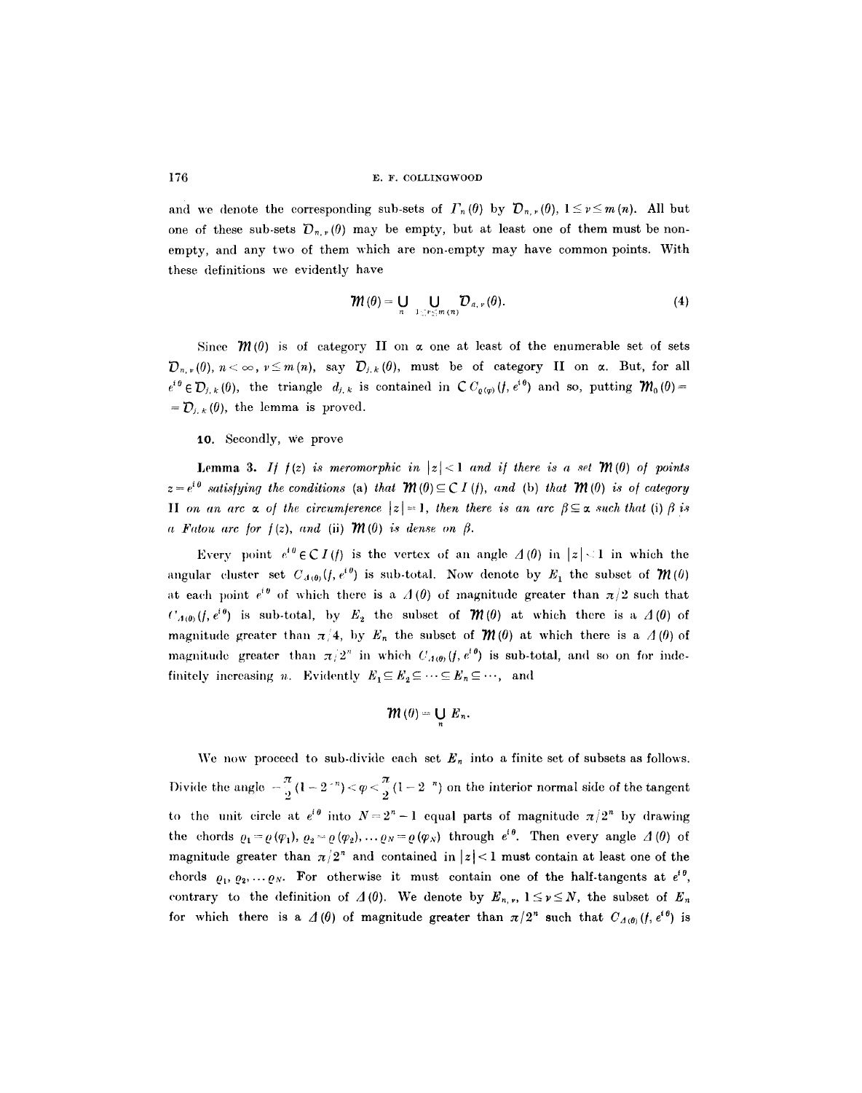and we denote the corresponding sub-sets of  $\Gamma_n (\theta)$  by  $\mathcal{D}_{n,r} (\theta)$ ,  $1 \leq r \leq m(n)$ . All but one of these sub-sets  $\mathcal{D}_{n,r}(\theta)$  may be empty, but at least one of them must be nonempty, and any two of them which are non-empty may have common points. With these definitions we evidently have

$$
\mathcal{W}(\theta) = \bigcup_{n} \bigcup_{1 \leq v \leq m(n)} \mathcal{D}_{n, v}(\theta). \tag{4}
$$

Since  $\mathcal{M}(0)$  is of category II on  $\alpha$  one at least of the enumerable set of sets  ${\cal D}_{n,r}(\theta), n < \infty$ ,  $\nu \le m(n)$ , say  ${\cal D}_{j,k}(\theta)$ , must be of category II on  $\alpha$ . But, for all  $e^{i\theta} \in \mathcal{D}_{j,k}(\theta)$ , the triangle  $d_{j,k}$  is contained in  $\mathcal{C}C_{\varrho(\varphi)}(f,e^{i\theta})$  and so, putting  $\mathcal{W}_0(\theta) =$  $= D_{i,k}(\theta)$ , the lemma is proved.

10. Secondly, we prove

**Lemma 3.** *If*  $f(z)$  *is meromorphic in*  $|z| < 1$  *and if there is a set*  $\mathcal{M}(0)$  *of points*  $z = e^{i\theta}$  satisfying the conditions (a) that  $\mathcal{W}(0) \subseteq C I(f)$ , and (b) that  $\mathcal{W}(0)$  is of category II on an arc  $\alpha$  of the circumference  $|z|=1$ , then there is an arc  $\beta \subseteq \alpha$  such that (i)  $\beta$  is *a Fatou arc for*  $f(z)$ *, and (ii)*  $\mathcal{M}(0)$  *is dense on*  $\beta$ *.* 

Every point  $e^{i\theta} \in CI(f)$  is the vertex of an angle  $\Delta(\theta)$  in  $|z| < 1$  in which the angular cluster set  $C_{A(\theta)}(f, e^{i\theta})$  is sub-total. Now denote by  $E_1$  the subset of  $\mathcal{W}(\theta)$ at each point  $e^{i\theta}$  of which there is a  $\Lambda(\theta)$  of magnitude greater than  $\pi/2$  such that  $C_{A(0)}(f, e^{i\theta})$  is sub-total, by  $E_2$  the subset of  $\mathcal{M}(0)$  at which there is a  $A(0)$  of magnitude greater than  $\pi/4$ , by  $E_n$  the subset of  $\mathcal{M}(0)$  at which there is a  $\Lambda(0)$  of magnitude greater than  $\pi/2^n$  in which  $C_{A(\theta)}(f, e^{i\theta})$  is sub-total, and so on for indefinitely increasing *n*. Evidently  $E_1 \subseteq E_2 \subseteq \cdots \subseteq E_n \subseteq \cdots$ , and

$$
\mathcal{W}\left( 0\right) =\bigcup\limits_{n}E_{n}.
$$

We now proceed to sub-divide each set  $E_n$  into a finite set of subsets as follows. Divide the angle  $-\frac{\pi}{2}(1-2^{-n}) < \varphi < \frac{\pi}{2}(1-2^{-n})$  on the interior normal side of the tangent to the unit circle at  $e^{i\theta}$  into  $N=2^n-1$  equal parts of magnitude  $\pi/2^n$  by drawing the chords  $\rho_1 = \rho(\varphi_1), \ \rho_2 = \rho(\varphi_2), \ldots \rho_N = \rho(\varphi_N)$  through  $e^{i\theta}$ . Then every angle  $\varLambda(0)$  of magnitude greater than  $\pi/2^n$  and contained in  $|z|$ <1 must contain at least one of the chords  $\rho_1, \rho_2, \ldots \rho_N$ . For otherwise it must contain one of the half-tangents at  $e^{i\theta}$ , contrary to the definition of  $\Lambda(0)$ . We denote by  $E_{n,r}$ ,  $1 \leq r \leq N$ , the subset of  $E_n$ for which there is a  $\Lambda(\theta)$  of magnitude greater than  $\pi/2^n$  such that  $C_{\Lambda(\theta)}(f,e^{i\theta})$  is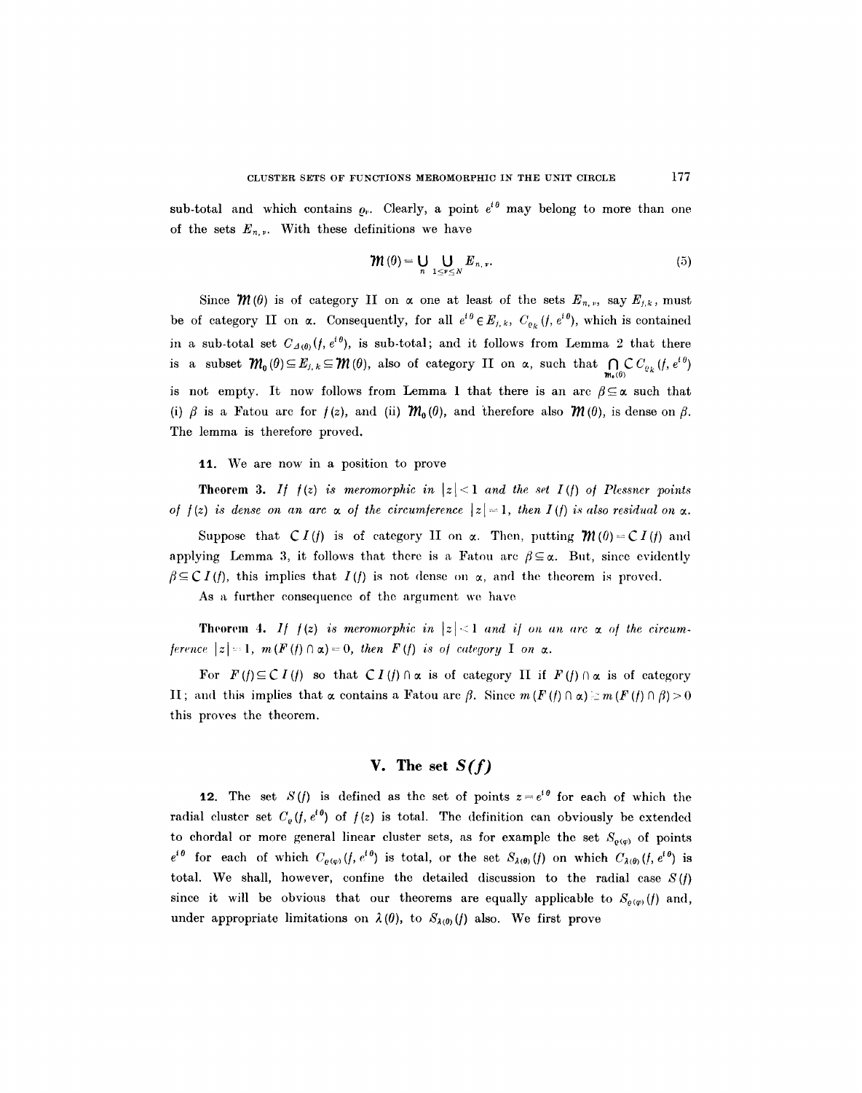sub-total and which contains  $\rho_r$ . Clearly, a point  $e^{i\theta}$  may belong to more than one of the sets  $E_{n,r}$ . With these definitions we have

$$
\mathcal{W}\left(\theta\right) = \bigcup_{n} \bigcup_{1 \leq \nu \leq N} E_{n,\nu}.\tag{5}
$$

Since  $\mathcal{W}(\theta)$  is of category II on  $\alpha$  one at least of the sets  $E_{n,\nu}$ , say  $E_{j,k}$ , must be of category II on  $\alpha$ . Consequently, for all  $e^{i\theta} \in E_{j,k}$ ,  $C_{\rho_k}(f, e^{i\theta})$ , which is contained in a sub-total set  $C_{A(0)}(f, e^{i\theta})$ , is sub-total; and it follows from Lemma 2 that there is a subset  $\mathcal{M}_0(\theta) \subseteq E_{j, k} \subseteq \mathcal{M}(\theta)$ , also of category II on  $\alpha$ , such that  $\bigcap_{m_0(\theta)} \mathcal{C} C_{\varrho_k}(f, e^{i\theta})$ is not empty. It now follows from Lemma 1 that there is an arc  $\beta \subseteq \alpha$  such that (i)  $\beta$  is a Fatou arc for  $f(z)$ , and (ii)  $\mathcal{M}_0(\theta)$ , and therefore also  $\mathcal{M}(\theta)$ , is dense on  $\beta$ . The lemma is therefore proved.

11. We are now in a position to prove

**Theorem 3.** *If*  $f(z)$  *is meromorphic in*  $|z| < 1$  *and the set I(f) of Plessner points of*  $f(z)$  *is dense on an arc*  $\alpha$  *of the circumference*  $|z| = 1$ , then  $I(f)$  is also residual on  $\alpha$ .

Suppose that  $CI(f)$  is of category II on  $\alpha$ . Then, putting  $\mathcal{M}(0) = CI(f)$  and applying Lemma 3, it follows that there is a Fatou arc  $\beta \subseteq \alpha$ . But, since evidently  $f \in \mathcal{C}I(f)$ , this implies that  $I(f)$  is not dense on  $\alpha$ , and the theorem is proved.

As a further consequence of the argument we have

**Theorem 4.** *If*  $f(z)$  *is meromorphic in*  $|z| < 1$  *and if on an arc*  $\alpha$  *of the circumference*  $|z|=1$ ,  $m(F(f) \cap \alpha)=0$ , then  $F(f)$  is of category I on  $\alpha$ .

For  $F(f) \subseteq C I(f)$  so that  $C I(f) \cap \alpha$  is of category II if  $F(f) \cap \alpha$  is of category H; and this implies that  $\alpha$  contains a Fatou arc  $\beta$ . Since  $m(F(f) \cap \alpha) \geq m(F(f) \cap \beta) > 0$ this proves the theorem.

# **V. The set** *S(f)*

12. The set  $S(f)$  is defined as the set of points  $z=e^{i\theta}$  for each of which the radial cluster set  $C_p(f, e^{i\theta})$  of  $f(z)$  is total. The definition can obviously be extended to chordal or more general linear cluster sets, as for example the set  $S_{\rho(\varphi)}$  of points  $e^{i\theta}$  for each of which  $C_{\varrho(\varphi)}(f, e^{i\theta})$  is total, or the set  $S_{\lambda(\theta)}(f)$  on which  $C_{\lambda(\theta)}(f, e^{i\theta})$  is total. We shall, however, confine the detailed discussion to the radial case *S(/)*  since it will be obvious that our theorems are equally applicable to  $S_{\rho(q)}(f)$  and, under appropriate limitations on  $\lambda(\theta)$ , to  $S_{\lambda(\theta)}(f)$  also. We first prove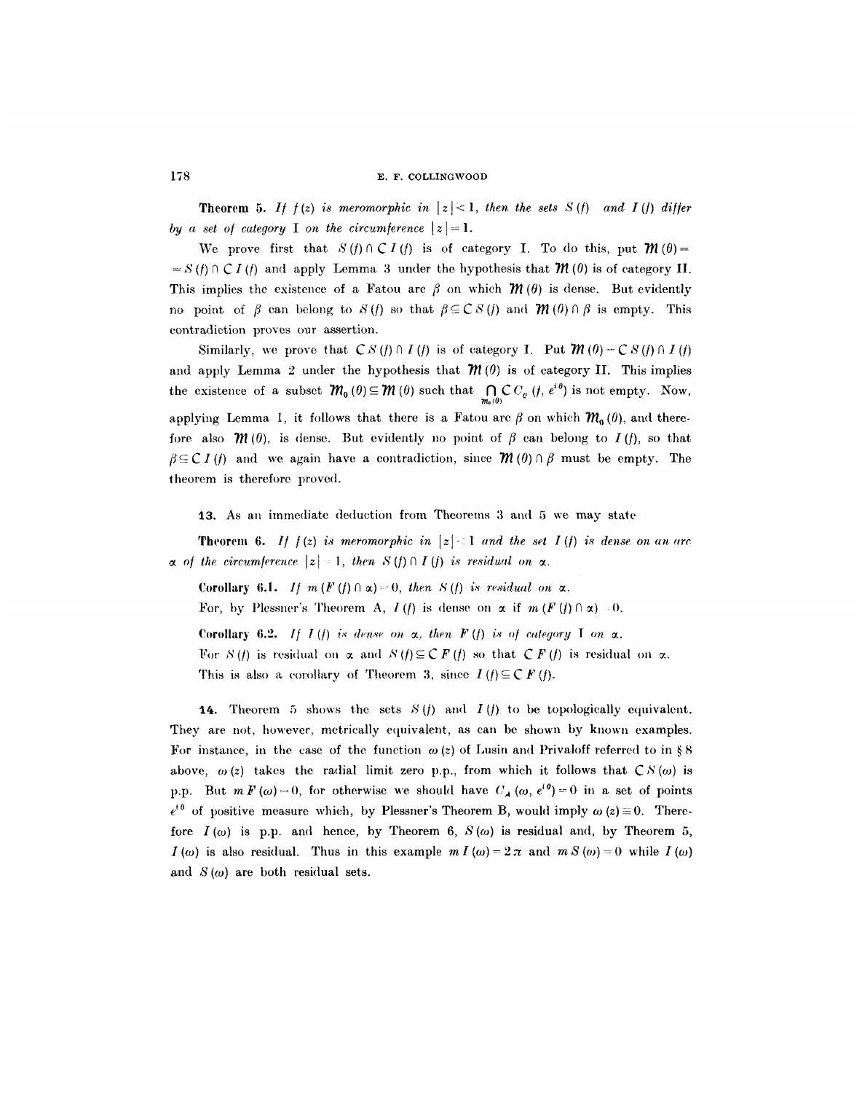**Theorem 5.** If  $f(z)$  is meromorphic in  $|z| < 1$ , then the sets  $S(f)$  and I(f) differ *by a set of category* I *on the circumference*  $|z| = 1$ .

We prove first that  $S(f) \cap \mathcal{C}I(f)$  is of category I. To do this, put  $\mathcal{W}(0)$  =  $= S(f) \cap C I(f)$  and apply Lemma 3 under the hypothesis that  $\mathcal{M}(0)$  is of category II. This implies the existence of a Fatou arc  $\beta$  on which  $\mathcal{M}(\theta)$  is dense. But evidently no point of  $\beta$  can belong to S(f) so that  $\beta \subseteq C S(f)$  and  $\mathcal{W}(0) \cap \beta$  is empty. This contradiction proves our assertion.

Similarly, we prove that  $CS(f) \cap I(f)$  is of category I. Put  $\mathcal{M}(0) = CS(f) \cap I(f)$ and apply Lemma 2 under the hypothesis that  $\mathcal{M}(0)$  is of category II. This implies the existence of a subset  $\mathcal{M}_0(\theta) \subseteq \mathcal{M}(\theta)$  such that  $\bigcap_{m_0(\theta)} \mathcal{C} C_{\varrho}$   $(f, e^{i\theta})$  is not empty. Now, applying Lemma 1, it follows that there is a Fatou arc  $\beta$  on which  $~\mathcal{W}_0~(0)$ , and therefore also  $\mathcal{M}(0)$ , is dense. But evidently no point of  $\beta$  can belong to  $I(f)$ , so that  $f \in \mathcal{C}I(f)$  and we again have a contradiction, since  $\mathcal{M}(0) \cap f$  must be empty. The theorem is therefore proved.

13. As an immediate deduction from Theorems 3 and 5 we may state

**Theorem 6.** If  $f(z)$  is meromorphic in  $|z| < 1$  and the set I(f) is dense on an arc  $\alpha$  of the circumference  $|z| = 1$ , then  $S(f) \cap I(f)$  is residual on  $\alpha$ .

Corollary 6.1. *If m*  $(F(f) \cap \alpha) = 0$ , then  $S(f)$  is residual on  $\alpha$ .

For, by Plessner's Theorem A,  $I(f)$  is dense on  $\alpha$  if  $m(F(f) \cap \alpha) = 0$ .

Corollary 6.2. *If*  $I(f)$  is dense on  $\alpha$ , then  $F(f)$  is of category I on  $\alpha$ . For  $S(f)$  is residual on  $\alpha$  and  $S(f) \subseteq C F(f)$  so that  $C F(f)$  is residual on  $\alpha$ . This is also a corollary of Theorem 3, since  $I(f) \subseteq C F(f)$ .

**14.** Theorem 5 shows the sets  $S(f)$  and  $I(f)$  to be topologically equivalent. They are not, however, metrically equivalent, as can be shown by known examples. For instance, in the case of the function  $\omega(z)$  of Lusin and Privaloff referred to in § 8 above,  $\omega(z)$  takes the radial limit zero p.p., from which it follows that  $\mathcal{CS}(\omega)$  is p.p. But  $m F(\omega) = 0$ , for otherwise we should have  $C_A(\omega, e^{i\theta}) = 0$  in a set of points  $e^{i\theta}$  of positive measure which, by Plessner's Theorem B, would imply  $\omega(z)=0$ . Therefore  $I(\omega)$  is p.p. and hence, by Theorem 6,  $S(\omega)$  is residual and, by Theorem 5,  $I(\omega)$  is also residual. Thus in this example  $m I(\omega) = 2 \pi$  and  $m S(\omega) = 0$  while  $I(\omega)$ and  $S(\omega)$  are both residual sets.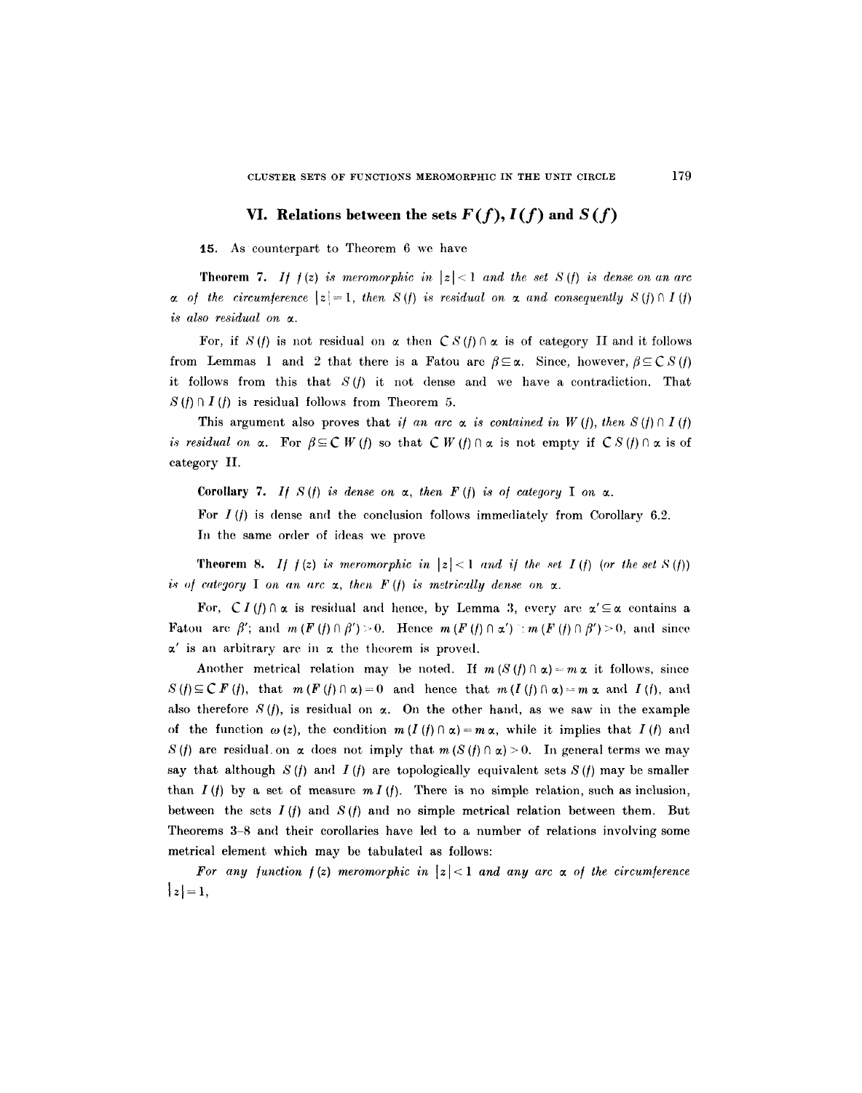# VI. Relations between the sets  $F(f)$ ,  $I(f)$  and  $S(f)$

15. As counterpart to Theorem 6 we have

**Theorem 7.** If  $f(z)$  is meromorphic in  $|z| < 1$  and the set  $S(f)$  is dense on an arc  $\alpha$  of the circumference  $|z|=1$ , then  $S(f)$  is residual on  $\alpha$  and consequently  $S(f) \cap I(f)$ *is also residual on*  $\alpha$ *.* 

For, if S(f) is not residual on  $\alpha$  then  $CS(f) \cap \alpha$  is of category II and it follows from Lemmas 1 and 2 that there is a Fatou arc  $\beta \subseteq \alpha$ . Since, however,  $\beta \subseteq C S(t)$ it follows from this that  $S(f)$  it not dense and we have a contradiction. That  $S(f) \cap I(f)$  is residual follows from Theorem 5.

This argument also proves that *if an arc*  $\alpha$  *is contained in W (f), then S (f)*  $\alpha$  *I (f) is residual on*  $\alpha$ *.* For  $\beta \subseteq C W(t)$  so that  $C W(t) \cap \alpha$  is not empty if  $CS(t) \cap \alpha$  is of category II.

Corollary 7. *If*  $S(f)$  is dense on  $\alpha$ , then  $F(f)$  is of category I on  $\alpha$ .

For  $I(f)$  is dense and the conclusion follows immediately from Corollary 6.2. In the same order of ideas we prove

**Theorem 8.** If  $f(z)$  is meromorphic in  $|z| < 1$  and if the set  $I(f)$  (or the set  $S(f)$ ) *is of category* I on an arc  $\alpha$ , then  $F(f)$  is metrically dense on  $\alpha$ .

For,  $CI(f) \cap \alpha$  is residual and hence, by Lemma 3, every arc  $\alpha' \subseteq \alpha$  contains a Fatou arc  $\beta'$ ; and  $m(F(f) \cap \beta') > 0$ . Hence  $m(F(f) \cap \alpha') \ge m(F(f) \cap \beta') > 0$ , and since  $\alpha'$  is an arbitrary arc in  $\alpha$  the theorem is proved.

Another metrical relation may be noted. If  $m(S(f) \cap \alpha) = m \alpha$  it follows, since  $S(f) \subseteq C F(f)$ , that  $m(F(f) \cap \alpha) = 0$  and hence that  $m(I(f) \cap \alpha) = m \alpha$  and  $I(f)$ , and also therefore S(f), is residual on  $\alpha$ . On the other hand, as we saw in the example of the function  $\omega(z)$ , the condition  $m (I(f) \cap \alpha) = m \alpha$ , while it implies that  $I(f)$  and S (f) are residual, on  $\alpha$  does not imply that  $m(S(f) \cap \alpha) > 0$ . In general terms we may say that although  $S(f)$  and  $I(f)$  are topologically equivalent sets  $S(f)$  may be smaller than  $I(f)$  by a set of measure  $m I(f)$ . There is no simple relation, such as inclusion, between the sets  $I(f)$  and  $S(f)$  and no simple metrical relation between them. But Theorems 3-8 and their corollaries have led to a number of relations involving some metrical element which may be tabulated as follows:

For any function  $f(z)$  meromorphic in  $|z| < 1$  and any arc  $\alpha$  of the circumference  $|z|=1,$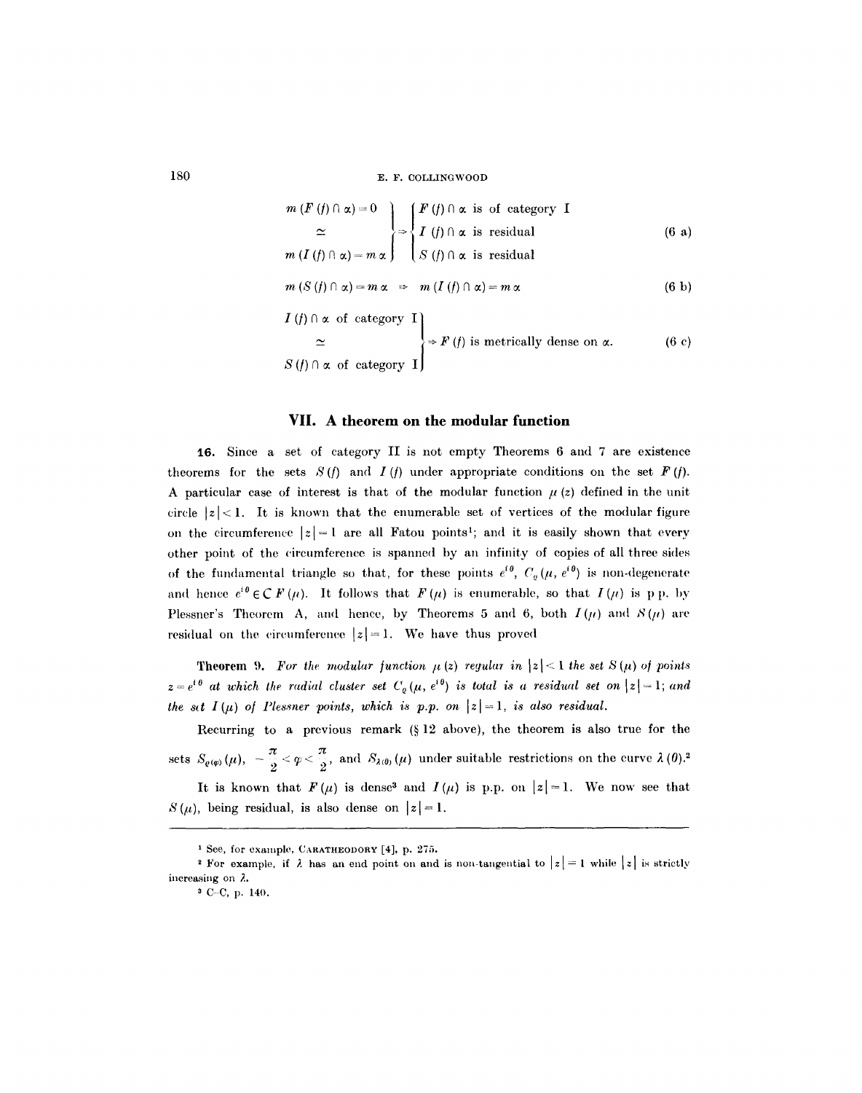$$
m(F(f) \cap \alpha) = 0
$$
\n
$$
\approx \begin{cases}\nF(f) \cap \alpha \text{ is of category } I \\
T(f) \cap \alpha \text{ is residual} \\
S(f) \cap \alpha \text{ is residual}\n\end{cases}
$$
\n
$$
m(I(f) \cap \alpha) = m \alpha \Rightarrow m(I(f) \cap \alpha) = m \alpha
$$
\n
$$
I(f) \cap \alpha \text{ of category } I
$$
\n
$$
\approx \begin{cases}\nT(f) \cap \alpha \text{ of category } I \\
S(f) \cap \alpha \text{ of category } I\n\end{cases}
$$
\n
$$
S(f) \cap \alpha \text{ of category } I
$$
\n
$$
S(f) \cap \alpha \text{ of category } I
$$
\n
$$
S(f) \cap \alpha \text{ of category } I
$$
\n
$$
(6 c)
$$

## **VII. A theorem on the modular function**

i6. Since a set of category II is not empty Theorems 6 and 7 are existence theorems for the sets  $S(f)$  and  $I(f)$  under appropriate conditions on the set  $F(f)$ . A particular case of interest is that of the modular function  $\mu(z)$  defined in the unit circle  $|z|$ <1. It is known that the enumerable set of vertices of the modular figure on the circumference  $|z|=1$  are all Fatou points<sup>1</sup>; and it is easily shown that every other point of the circumference is spanned by an infinity of copies of all three sides of the fundamental triangle so that, for these points  $e^{i\theta}$ ,  $C_{\varrho}(\mu, e^{i\theta})$  is non-degenerate and hence  $e^{i\theta} \in \mathcal{C} F(\mu)$ . It follows that  $F(\mu)$  is enumerable, so that  $I(\mu)$  is p p. by Plessner's Theorem A, and hence, by Theorems 5 and 6, both  $I(\mu)$  and  $S(\mu)$  are residual on the circumference  $|z|=1$ . We have thus proved

**Theorem 9.** For the modular function  $\mu(z)$  regular in  $|z| < 1$  the set  $S(\mu)$  of points  $z=e^{i\theta}$  at which the radial cluster set  $C_{\varrho}(\mu, e^{i\theta})$  is total is a residual set on  $|z|=1$ ; and *the set I(u) of Plessner points, which is p.p. on*  $|z|=1$ , *is also residual.* 

Recurring to a previous remark  $(§ 12 \text{ above})$ , the theorem is also true for the sets  $S_{\varrho(\varphi)}(\mu)$ ,  $-\frac{\pi}{2} < \varphi < \frac{\pi}{2}$ , and  $S_{\lambda(\vartheta)}(\mu)$  under suitable restrictions on the curve  $\lambda(\theta)$ .<sup>2</sup>

It is known that  $F(\mu)$  is dense<sup>3</sup> and  $I(\mu)$  is p.p. on  $|z|=1$ . We now see that  $S(\mu)$ , being residual, is also dense on  $|z| = 1$ .

<sup>1</sup> See, for example, CARATHEODORY [4], p. 275.

<sup>&</sup>lt;sup>2</sup> For example, if  $\lambda$  has an end point on and is non-tangential to  $|z|=1$  while  $|z|$  is strictly increasing on  $\lambda$ .

**a C C, p.** 140.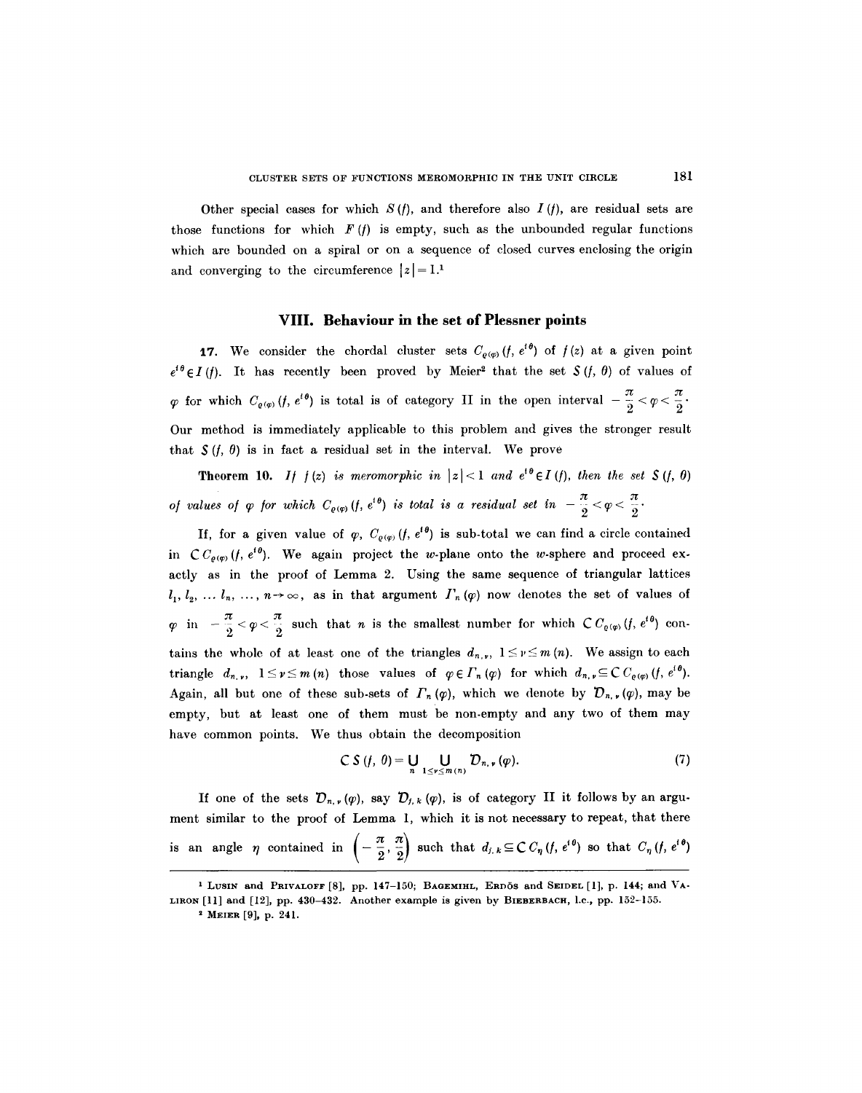Other special cases for which  $S(f)$ , and therefore also  $I(f)$ , are residual sets are those functions for which  $F(t)$  is empty, such as the unbounded regular functions which are bounded on a spiral or on a sequence of closed curves enclosing the origin and converging to the circumference  $|z| = 1.1$ 

#### **VIII. Behaviour in the set of Plessner points**

**17.** We consider the chordal cluster sets  $C_{\rho(\varphi)}(f, e^{i\theta})$  of  $f(z)$  at a given point  $e^{i\theta} \in I(r)$ . It has recently been proved by Meier<sup>2</sup> that the set  $S(r, \theta)$  of values of for which  $C_{q(\varphi)}(f, e^{i\theta})$  is total is of category II in the open interval  $-\frac{\pi}{2} < \varphi < \frac{\pi}{2}$ . Our method is immediately applicable to this problem and gives the stronger result that  $S(f, \theta)$  is in fact a residual set in the interval. We prove

**Theorem 10.** *If*  $f(z)$  *is meromorphic in*  $|z| < 1$  *and*  $e^{i\theta} \in I(f)$ *, then the set*  $S(f, \theta)$ *of values of*  $\varphi$  *for which*  $C_{\varrho(\varphi)}(f, e^{i\theta})$  *is total is a residual set in*  $-\frac{\pi}{2} < \varphi < \frac{\pi}{2}$ .

If, for a given value of  $\varphi$ ,  $C_{\rho(\varphi)}(f, e^{i\theta})$  is sub-total we can find a circle contained in  $C C_{\varrho(\varphi)}(f, e^{i\theta})$ . We again project the w-plane onto the w-sphere and proceed exactly as in the proof of Lemma 2. Using the same sequence of triangular lattices  $l_1, l_2, \ldots l_n, \ldots, n \rightarrow \infty$ , as in that argument  $\Gamma_n(\varphi)$  now denotes the set of values of in  $-\frac{\pi}{2} < \varphi < \frac{\pi}{2}$  such that *n* is the smallest number for which  $\mathcal{C}C_{\varrho(\varphi)}(f, e^{i\theta})$  contains the whole of at least one of the triangles  $d_{n,\nu}$ ,  $1 \leq \nu \leq m(n)$ . We assign to each triangle  $d_{n,\nu}$ ,  $1 \leq \nu \leq m(n)$  those values of  $\varphi \in \Gamma_n(\varphi)$  for which  $d_{n,\nu} \subseteq C C_{\varrho(\varphi)}(f, e^{i\theta})$ . Again, all but one of these sub-sets of  $\Gamma_n(\varphi)$ , which we denote by  $\mathcal{D}_{n,\nu}(\varphi)$ , may be empty, but at least one of them must be non-empty and any two of them may have common points. We thus obtain the decomposition

$$
CS(f, \theta) = \bigcup_{n} \bigcup_{1 \leq \nu \leq m(n)} D_{n, \nu}(\varphi).
$$
 (7)

If one of the sets  $\mathcal{D}_{n,\nu}(p)$ , say  $\mathcal{D}_{j,\kappa}(p)$ , is of category II it follows by an argument similar to the proof of Lemma 1, which it is not necessary to repeat, that there is an angle  $\eta$  contained in  $\left(-\frac{\pi}{2}, \frac{\pi}{2}\right)$  such that  $d_{j,k} \subseteq C C_{\eta} (f, e^{i\theta})$  so that  $C_{\eta} (f, e^{i\theta})$ 

<sup>&</sup>lt;sup>1</sup> LUSIN and PRIVALOFF [8], pp. 147-150; BAGEMIHL, ERDÖS and SEIDEL [1], p. 144; and VA-**LIRON [11] and [12], pp. 430-432. Another example is given by BIEBERBACH, 1.C., pp. 152-155.** 

**<sup>2</sup> MEIER [9], p. 241.**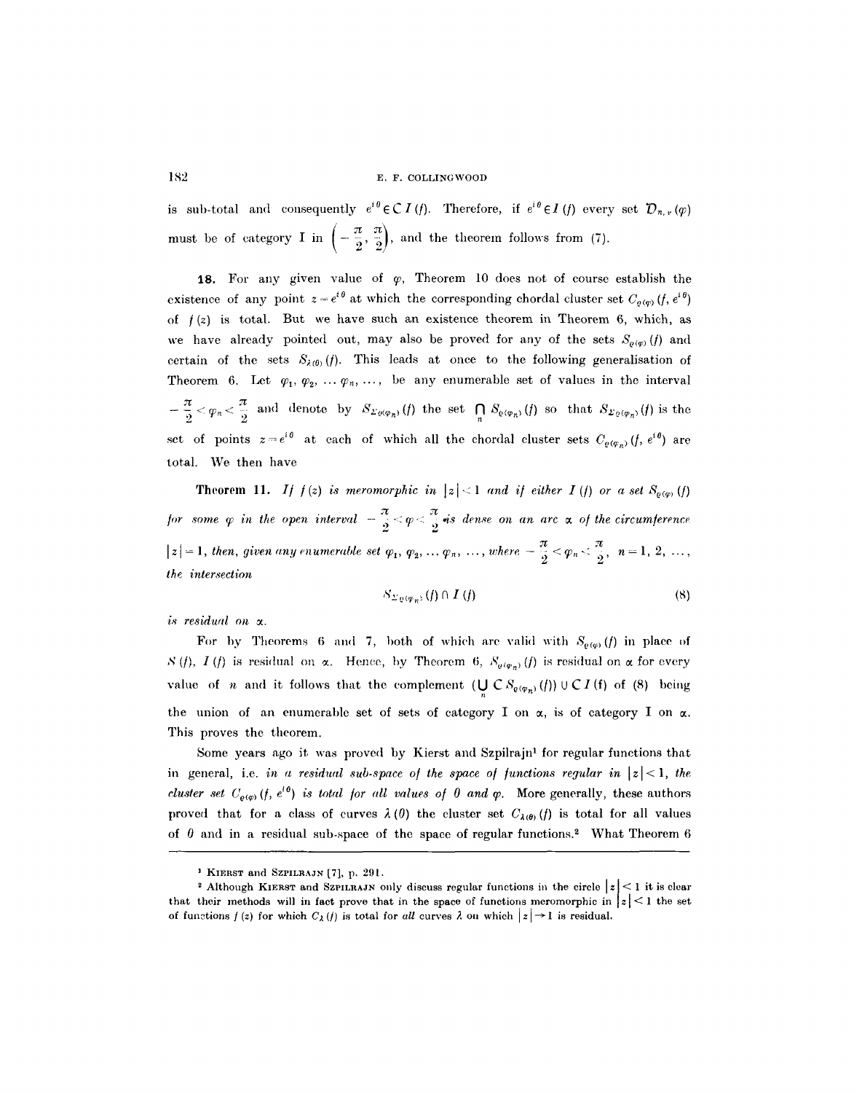is sub-total and consequently  $e^{i\theta} \in C I(f)$ . Therefore, if  $e^{i\theta} \in I(f)$  every set  $\mathcal{D}_{n,r}(\varphi)$ must be of category I in  $\left(-\frac{\pi}{2}, \frac{\pi}{2}\right)$ , and the theorem follows from (7).

18. For any given value of  $\varphi$ , Theorem 10 does not of course establish the existence of any point  $z = e^{i\theta}$  at which the corresponding chordal cluster set  $C_{o(w)}(f, e^{i\theta})$ of  $f(z)$  is total. But we have such an existence theorem in Theorem 6, which, as we have already pointed out, may also be proved for any of the sets  $S_{\rho(p)}(f)$  and certain of the sets  $S_{\lambda(0)}(f)$ . This leads at once to the following generalisation of Theorem 6. Let  $\varphi_1, \varphi_2, \ldots, \varphi_n, \ldots$ , be any enumerable set of values in the interval  $\frac{\pi}{2}$   $\lt \varphi_n$   $\lt \frac{\pi}{2}$  and denote by  $S_{\varSigma_{\theta}(\varphi_n)}(f)$  the set  $\bigcap S_{\theta(\varphi_n)}(f)$  so that  $S_{\varSigma_{\theta}(\varphi_n)}(f)$  is the set of points  $z=e^{i\theta}$  at each of which all the chordal cluster sets  $C_{\rho(\varphi_n)}(f, e^{i\theta})$  are total. We then have

**Theorem 11.** *If*  $f(z)$  *is meromorphic in*  $|z| < 1$  *and if either I (f) or a set*  $S_{\varrho(\varphi)}(f)$ *for some*  $\varphi$  *in the open interval*  $-\frac{\pi}{2} < \varphi < \frac{\pi}{2}$  *is dense on an arc*  $\alpha$  *of the circumference*  $|z|=1$ , then, given any enumerable set  $\varphi_1, \varphi_2, ..., \varphi_n, ...,$  where  $-\frac{\pi}{2} < \varphi_n < \frac{\pi}{2}, n=1, 2, ...,$ *the intersection* 

$$
S_{\Sigma \varrho(\varphi_n)}(f) \cap I(f) \tag{8}
$$

*is residual on x.* 

For by Theorems 6 and 7, both of which are valid with  $S_{\rho(\varphi)}(f)$  in place of  $S(f), I(f)$  is residual on  $\alpha$ . Hence, by Theorem 6,  $S_{\varrho(\varphi_n)}(f)$  is residual on  $\alpha$  for every value of *n* and it follows that the complement  $(\bigcup_n \mathcal{C} S_{e(\varphi_n)}(f)) \cup \mathcal{C} I(f)$  of (8) being the union of an enumerable set of sets of category I on  $\alpha$ , is of category I on  $\alpha$ . This proves the theorem.

Some years ago it was proved by Kierst and Szpilrajn<sup>1</sup> for regular functions that in general, i.e. *in a residual sub-space of the space of functions regular in*  $|z|$  < 1, the *cluster set C<sub>o(v)</sub>* (*f, e<sup>ib</sup>*) *is total for all values of 0 and*  $\varphi$ *. More generally, these authors* proved that for a class of curves  $\lambda(0)$  the cluster set  $C_{\lambda(0)}(f)$  is total for all values of  $\theta$  and in a residual sub-space of the space of regular functions.<sup>2</sup> What Theorem 6

<sup>&</sup>lt;sup>1</sup> KIERST and SZPILRAJN [7], p. 291.

<sup>&</sup>lt;sup>2</sup> Although KIERST and SZPILRAJN only discuss regular functions in the circle  $|z| < 1$  it is clear that their methods will in fact prove that in the space of functions meromorphic in  $|z| \leq 1$  the set of functions  $f(z)$  for which  $C_{\lambda}(f)$  is total for *all* curves  $\lambda$  on which  $|z| \to 1$  is residual.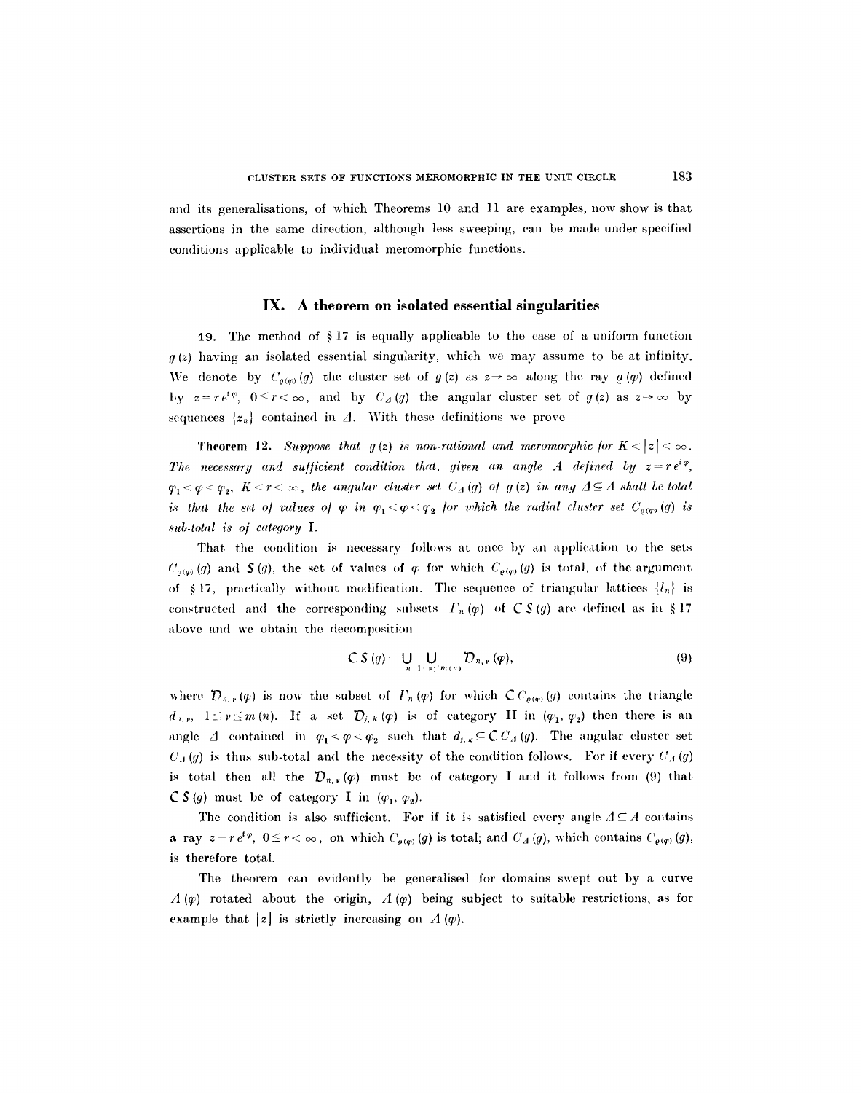and its generalisations, of which Theorems 10 and 11 are examples, now show is that assertions in the same direction, although less sweeping, can be made under specified conditions applicable to individual meromorphic fimctions.

#### **IX. A theorem on isolated essential singularities**

19. The method of  $\S 17$  is equally applicable to the case of a uniform function  $g(z)$  having an isolated essential singularity, which we may assume to be at infinity. We denote by  $C_{\varrho(\varphi)}(g)$  the cluster set of  $g(z)$  as  $z\rightarrow\infty$  along the ray  $\varrho(\varphi)$  defined by  $z = re^{i\varphi}$ ,  $0 \le r < \infty$ , and by  $C_A(g)$  the angular cluster set of  $g(z)$  as  $z \to \infty$  by sequences  $\{z_n\}$  contained in  $\Delta$ . With these definitions we prove

**Theorem 12.** *Suppose that g(z) is non-rational and meromorphic for*  $K < |z| < \infty$ . *The necessary and sufficient condition that, given an angle A defined by*  $z=re^{i\varphi}$ *,*  $q_1 < q < q_2$ ,  $K < r < \infty$ , the angular cluster set  $C_A(q)$  of  $q(z)$  in any  $\Delta \subseteq A$  shall be total *is that the set of values of*  $\varphi$  *in*  $\varphi_1 < \varphi < \varphi_2$  *for which the radial cluster set*  $C_{\varphi(\varphi)}(g)$  *is sub.total is o/ category I.* 

That the condition is necessary follows at once by an application to the sets  $C_{\rho(q)}(g)$  and  $\zeta(g)$ , the set of values of  $\varphi$  for which  $C_{\rho(q)}(g)$  is total, of the argument of §17, practically without modification. The sequence of triangular lattices  ${l_n}$  is constructed and the corresponding subsets  $\Gamma_n(\varphi)$  of  $\mathcal{C} S(g)$  are defined as in §17 above and we obtain the decomposition

$$
CS(g) = \bigcup_{n=1}^{\infty} \bigcup_{y \in (m(n))} D_{n, y}( \varphi), \tag{9}
$$

where  $\mathcal{D}_{n,r}(\varphi)$  is now the subset of  $\Gamma_n(\varphi)$  for which  $\mathcal{C}C_{\varrho(\varphi)}(\varphi)$  contains the triangle  $d_{n,r}$ ,  $1 \leq r \leq m(n)$ . If a set  $\mathcal{D}_{j,k} (\varphi)$  is of category II in  $(\varphi_1, \varphi_2)$  then there is an angle  $\Delta$  contained in  $\varphi_1 < \varphi < \varphi_2$  such that  $d_{j,k} \subseteq C C_{\Delta}(g)$ . The angular cluster set  $U_j(g)$  is thus sub-total and the necessity of the condition follows. For if every  $U_j(g)$ is total then all the  $\mathcal{D}_{n,r}(q)$  must be of category I and it follows from (9) that  $\mathcal{C}$  S(g) must be of category I in  $(\varphi_1, \varphi_2)$ .

The condition is also sufficient. For if it is satisfied every angle  $\Lambda \subseteq A$  contains a ray  $z = r e^{i\varphi}$ ,  $0 \le r < \infty$ , on which  $C_{\varrho(\varphi)}(g)$  is total; and  $C_A(g)$ , which contains  $C_{\varrho(\varphi)}(g)$ , is therefore total.

The theorem can evidently be generalised for domains swept out by a curve  $A(\varphi)$  rotated about the origin,  $A(\varphi)$  being subject to suitable restrictions, as for example that  $|z|$  is strictly increasing on  $\Lambda(\varphi)$ .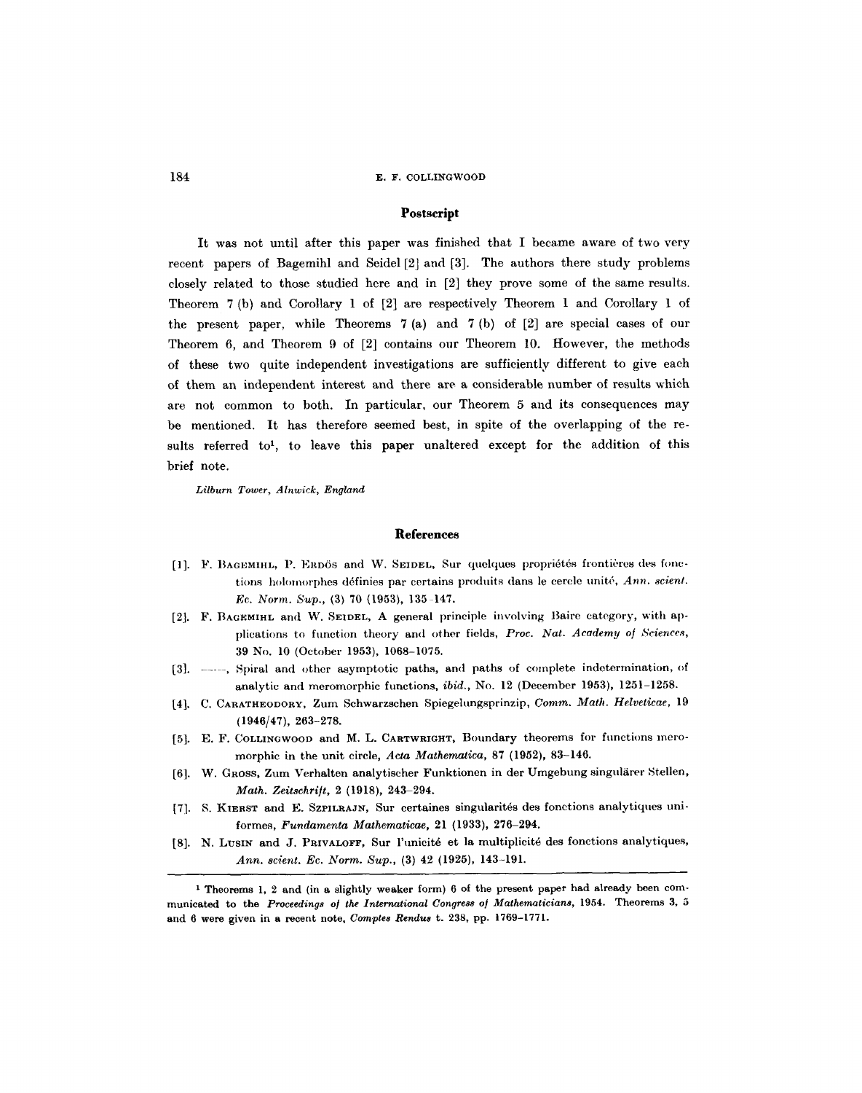## **Postscript**

It was not until after this paper was finished that I became aware of two very recent papers of Bagemihl and Seidel [2] and [3]. The authors there study problems closely related to those studied here and in [2] they prove some of the same results. Theorem 7 (b) and Corollary 1 of [2] are respectively Theorem 1 and Corollary I of the present paper, while Theorems 7 (a) and 7 (b) of [2] are special cases of our Theorem 6, and Theorem 9 of [2] contains our Theorem 10. However, the methods of these two quite independent investigations are sufficiently different to give each of them an independent interest and there are a considerable number of results which are not common to both. In particular, our Theorem 5 and its consequences may be mentioned. It has therefore seemed best, in spite of the overlapping of the results referred to<sup>1</sup>, to leave this paper unaltered except for the addition of this brief note.

*Lilburn Tower, Alnwick, England* 

# **References**

- [1]. F. BAGEMIHL, P. ERDÖS and W. SEIDEL, Sur quelques propriétés frontières des fonctions holomorphes définies par certains produits dans le cercle unité, *Ann. scient. Ec. Norm. Sup.,* (3) 70 (1953), 135-147.
- [2]. F. BAGEMIHL and W. SEIDEL, A general principle involving Baire category, with applications to function theory and other fields, Proc. Nat. Academy of Sciences, 39 No. 10 (October 1953), 1068-1075.
- [3]. -----, Spiral and other asymptotic paths, and paths of complete indetermination, of analytic and meromorphic functions, *ibid.*, No. 12 (December 1953), 1251-1258.
- [4], C. CARATHEODORY, Zum Schwarzschen Spiegehmgsprinzip, *Comm. Math. Helveticae,* 19 (1946/47), 263-278.
- [5]. E. F. COLLINGWOOD and M. L. CARTWRIGHT, Boundary theorems for functions meromorphic in the unit circle, Acta *Mathematics,* 87 (1952), 83-146.
- [6]. W. GROSS, Zum Verhalten analytischer Funktionen in der Umgebung singulärer Stellen, *Math. Zeitschri]t,* 2 (1918), 243-294.
- [7]. S. KIERST and E. SZPILRAJN, Sur certaines singularités des fonctions analytiques uniformes, *Fundamenta Mathematicae,* 21 (1933), 276-294.
- [8]. N. LUSIN and J. PRIVALOFF, Sur l'unicité et la multiplicité des fonctions analytiques, *Ann. scient. Ec. Norm. Sup.,* (3) 42 (1925), 143-191.

I Theorems 1, 2 and (in a slightly weaker form) 6 of the present paper had already been communicated to the *Proceedings of the International Congress of Mathematicians*, 1954. Theorems 3, 5 and 6 were given in a recent note, *Comptes Rendus* t. 238, pp. 1769-I771.